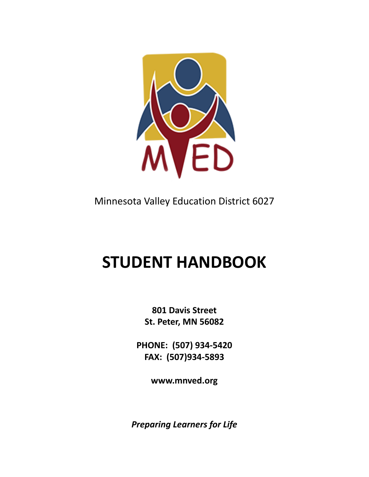

Minnesota Valley Education District 6027

# **STUDENT HANDBOOK**

**801 Davis Street St. Peter, MN 56082**

**PHONE: (507) 934-5420 FAX: (507)934-5893**

**www.mnved.org**

*Preparing Learners for Life*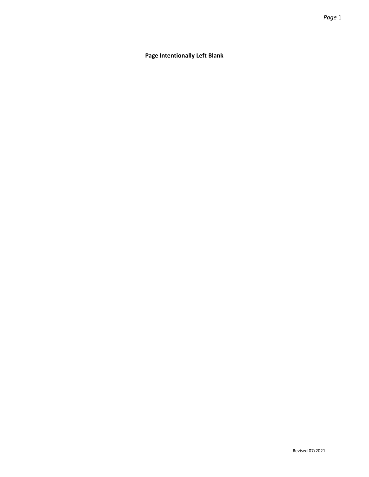**Page Intentionally Left Blank**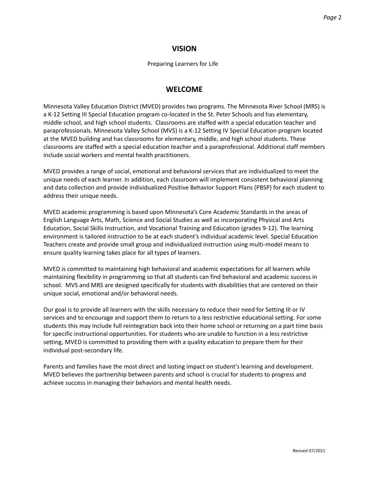#### **VISION**

#### Preparing Learners for Life

#### **WELCOME**

Minnesota Valley Education District (MVED) provides two programs. The Minnesota River School (MRS) is a K-12 Setting III Special Education program co-located in the St. Peter Schools and has elementary, middle school, and high school students. Classrooms are staffed with a special education teacher and paraprofessionals. Minnesota Valley School (MVS) is a K-12 Setting IV Special Education program located at the MVED building and has classrooms for elementary, middle, and high school students. These classrooms are staffed with a special education teacher and a paraprofessional. Additional staff members include social workers and mental health practitioners.

MVED provides a range of social, emotional and behavioral services that are individualized to meet the unique needs of each learner. In addition, each classroom will implement consistent behavioral planning and data collection and provide individualized Positive Behavior Support Plans (PBSP) for each student to address their unique needs.

MVED academic programming is based upon Minnesota's Core Academic Standards in the areas of English Language Arts, Math, Science and Social Studies as well as incorporating Physical and Arts Education, Social Skills Instruction, and Vocational Training and Education (grades 9-12). The learning environment is tailored instruction to be at each student's individual academic level. Special Education Teachers create and provide small group and individualized instruction using multi-model means to ensure quality learning takes place for all types of learners.

MVED is committed to maintaining high behavioral and academic expectations for all learners while maintaining flexibility in programming so that all students can find behavioral and academic success in school. MVS and MRS are designed specifically for students with disabilities that are centered on their unique social, emotional and/or behavioral needs.

Our goal is to provide all learners with the skills necessary to reduce their need for Setting III or IV services and to encourage and support them to return to a less restrictive educational setting. For some students this may include full reintegration back into their home school or returning on a part time basis for specific instructional opportunities. For students who are unable to function in a less restrictive setting, MVED is committed to providing them with a quality education to prepare them for their individual post-secondary life.

Parents and families have the most direct and lasting impact on student's learning and development. MVED believes the partnership between parents and school is crucial for students to progress and achieve success in managing their behaviors and mental health needs.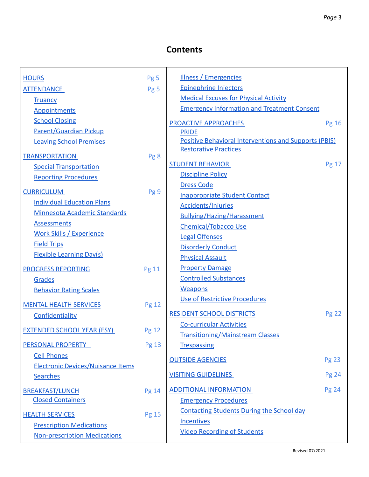# **Contents**

| <b>HOURS</b>                             | Pg 5         | <b>Illness / Emergencies</b>                                 |              |
|------------------------------------------|--------------|--------------------------------------------------------------|--------------|
| <b>ATTENDANCE</b>                        | Pg 5         | <b>Epinephrine Injectors</b>                                 |              |
| <b>Truancy</b>                           |              | <b>Medical Excuses for Physical Activity</b>                 |              |
| <b>Appointments</b>                      |              | <b>Emergency Information and Treatment Consent</b>           |              |
| <b>School Closing</b>                    |              | <b>PROACTIVE APPROACHES</b>                                  | <b>Pg 16</b> |
| Parent/Guardian Pickup                   |              | <b>PRIDE</b>                                                 |              |
| <b>Leaving School Premises</b>           |              | <b>Positive Behavioral Interventions and Supports (PBIS)</b> |              |
| <b>TRANSPORTATION</b>                    | Pg 8         | <b>Restorative Practices</b>                                 |              |
| <b>Special Transportation</b>            |              | <b>STUDENT BEHAVIOR</b>                                      | Pg 17        |
| <b>Reporting Procedures</b>              |              | <b>Discipline Policy</b>                                     |              |
|                                          |              | <b>Dress Code</b>                                            |              |
| <b>CURRICULUM</b>                        | Pg 9         | <b>Inappropriate Student Contact</b>                         |              |
| <b>Individual Education Plans</b>        |              | <b>Accidents/Injuries</b>                                    |              |
| Minnesota Academic Standards             |              | <b>Bullying/Hazing/Harassment</b>                            |              |
| <b>Assessments</b>                       |              | <b>Chemical/Tobacco Use</b>                                  |              |
| <b>Work Skills / Experience</b>          |              | <b>Legal Offenses</b>                                        |              |
| <b>Field Trips</b>                       |              | <b>Disorderly Conduct</b>                                    |              |
| <b>Flexible Learning Day(s)</b>          |              | <b>Physical Assault</b>                                      |              |
| <b>PROGRESS REPORTING</b>                | Pg 11        | <b>Property Damage</b>                                       |              |
| Grades                                   |              | <b>Controlled Substances</b>                                 |              |
| <b>Behavior Rating Scales</b>            |              | <b>Weapons</b>                                               |              |
| <b>MENTAL HEALTH SERVICES</b>            | <b>Pg 12</b> | Use of Restrictive Procedures                                |              |
| Confidentiality                          |              | <b>RESIDENT SCHOOL DISTRICTS</b>                             | <b>Pg 22</b> |
|                                          |              | <b>Co-curricular Activities</b>                              |              |
| <b>EXTENDED SCHOOL YEAR (ESY)</b>        | <b>Pg 12</b> | <b>Transitioning/Mainstream Classes</b>                      |              |
| PERSONAL PROPERTY                        | <b>Pg 13</b> | <b>Trespassing</b>                                           |              |
| <b>Cell Phones</b>                       |              | <b>OUTSIDE AGENCIES</b>                                      | <b>Pg 23</b> |
| <b>Electronic Devices/Nuisance Items</b> |              |                                                              |              |
| <b>Searches</b>                          |              | <b>VISITING GUIDELINES</b>                                   | <b>Pg 24</b> |
| <b>BREAKFAST/LUNCH</b>                   | Pg 14        | <b>ADDITIONAL INFORMATION</b>                                | <b>Pg 24</b> |
| <b>Closed Containers</b>                 |              | <b>Emergency Procedures</b>                                  |              |
| <b>HEALTH SERVICES</b>                   | <b>Pg 15</b> | <b>Contacting Students During the School day</b>             |              |
| <b>Prescription Medications</b>          |              | <b>Incentives</b>                                            |              |
|                                          |              | <b>Video Recording of Students</b>                           |              |
| <b>Non-prescription Medications</b>      |              |                                                              |              |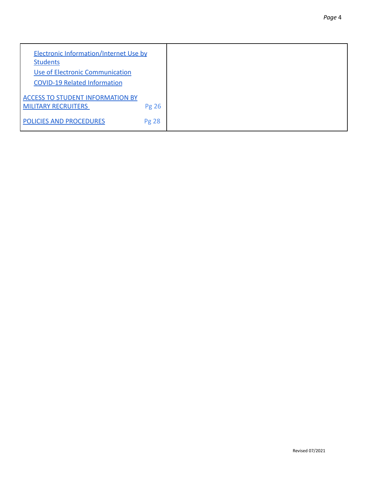| <b>Electronic Information/Internet Use by</b><br><b>Students</b>      |              |
|-----------------------------------------------------------------------|--------------|
| Use of Electronic Communication                                       |              |
| <b>COVID-19 Related Information</b>                                   |              |
| <b>ACCESS TO STUDENT INFORMATION BY</b><br><b>MILITARY RECRUITERS</b> | <b>Pg 26</b> |
| <b>POLICIES AND PROCEDURES</b>                                        | <b>Pg 28</b> |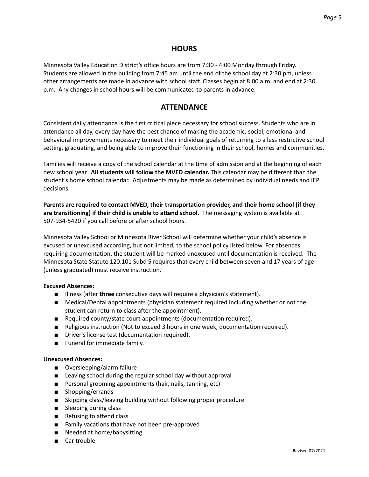#### **HOURS**

<span id="page-5-0"></span>Minnesota Valley Education District's office hours are from 7:30 - 4:00 Monday through Friday. Students are allowed in the building from 7:45 am until the end of the school day at 2:30 pm, unless other arrangements are made in advance with school staff. Classes begin at 8:00 a.m. and end at 2:30 p.m. Any changes in school hours will be communicated to parents in advance.

## **ATTENDANCE**

<span id="page-5-1"></span>Consistent daily attendance is the first critical piece necessary for school success. Students who are in attendance all day, every day have the best chance of making the academic, social, emotional and behavioral improvements necessary to meet their individual goals of returning to a less restrictive school setting, graduating, and being able to improve their functioning in their school, homes and communities.

Families will receive a copy of the school calendar at the time of admission and at the beginning of each new school year. **All students will follow the MVED calendar.** This calendar may be different than the student's home school calendar. Adjustments may be made as determined by individual needs and IEP decisions.

**Parents are required to contact MVED, their transportation provider, and their home school (if they are transitioning) if their child is unable to attend school.** The messaging system is available at 507-934-5420 if you call before or after school hours.

Minnesota Valley School or Minnesota River School will determine whether your child's absence is excused or unexcused according, but not limited, to the school policy listed below. For absences requiring documentation, the student will be marked unexcused until documentation is received. The Minnesota State Statute 120.101 Subd 5 requires that every child between seven and 17 years of age (unless graduated) must receive instruction.

#### **Excused Absences:**

- Illness (after **three** consecutive days will require a physician's statement).
- Medical/Dental appointments (physician statement required including whether or not the student can return to class after the appointment).
- Required county/state court appointments (documentation required).
- Religious instruction (Not to exceed 3 hours in one week, documentation required).
- Driver's license test (documentation required).
- Funeral for immediate family.

#### **Unexcused Absences:**

- Oversleeping/alarm failure
- Leaving school during the regular school day without approval
- Personal grooming appointments (hair, nails, tanning, etc)
- Shopping/errands
- Skipping class/leaving building without following proper procedure
- Sleeping during class
- Refusing to attend class
- Family vacations that have not been pre-approved
- Needed at home/babysitting
- Car trouble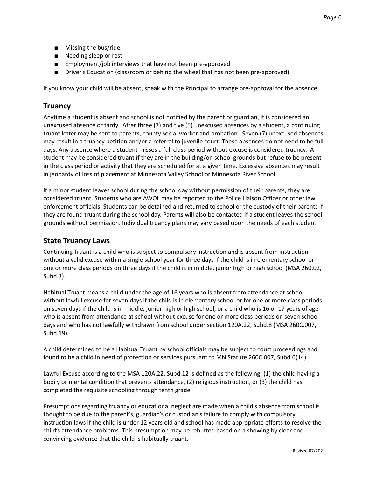- Missing the bus/ride
- Needing sleep or rest
- Employment/job interviews that have not been pre-approved
- Driver's Education (classroom or behind the wheel that has not been pre-approved)

<span id="page-6-0"></span>If you know your child will be absent, speak with the Principal to arrange pre-approval for the absence.

## **Truancy**

Anytime a student is absent and school is not notified by the parent or guardian, it is considered an unexcused absence or tardy. After three (3) and five (5) unexcused absences by a student, a continuing truant letter may be sent to parents, county social worker and probation. Seven (7) unexcused absences may result in a truancy petition and/or a referral to juvenile court. These absences do not need to be full days. Any absence where a student misses a full class period without excuse is considered truancy. A student may be considered truant if they are in the building/on school grounds but refuse to be present in the class period or activity that they are scheduled for at a given time. Excessive absences may result in jeopardy of loss of placement at Minnesota Valley School or Minnesota River School.

If a minor student leaves school during the school day without permission of their parents, they are considered truant. Students who are AWOL may be reported to the Police Liaison Officer or other law enforcement officials. Students can be detained and returned to school or the custody of their parents if they are found truant during the school day. Parents will also be contacted if a student leaves the school grounds without permission. Individual truancy plans may vary based upon the needs of each student.

## **State Truancy Laws**

Continuing Truant is a child who is subject to compulsory instruction and is absent from instruction without a valid excuse within a single school year for three days if the child is in elementary school or one or more class periods on three days if the child is in middle, junior high or high school (MSA 260.02, Subd.3).

Habitual Truant means a child under the age of 16 years who is absent from attendance at school without lawful excuse for seven days if the child is in elementary school or for one or more class periods on seven days if the child is in middle, junior high or high school, or a child who is 16 or 17 years of age who is absent from attendance at school without excuse for one or more class periods on seven school days and who has not lawfully withdrawn from school under section 120A.22, Subd.8 (MSA 260C.007, Subd.19).

A child determined to be a Habitual Truant by school officials may be subject to court proceedings and found to be a child in need of protection or services pursuant to MN Statute 260C.007, Subd.6(14).

Lawful Excuse according to the MSA 120A.22, Subd.12 is defined as the following: (1) the child having a bodily or mental condition that prevents attendance, (2) religious instruction, or (3) the child has completed the requisite schooling through tenth grade.

Presumptions regarding truancy or educational neglect are made when a child's absence from school is thought to be due to the parent's, guardian's or custodian's failure to comply with compulsory instruction laws if the child is under 12 years old and school has made appropriate efforts to resolve the child's attendance problems. This presumption may be rebutted based on a showing by clear and convincing evidence that the child is habitually truant.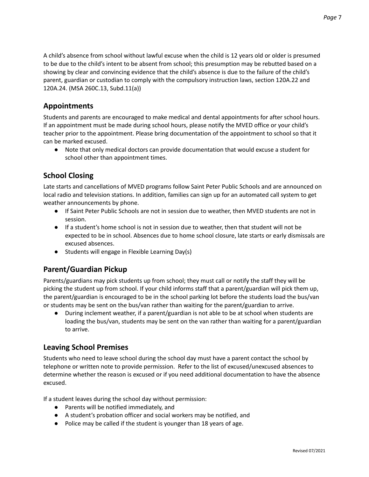A child's absence from school without lawful excuse when the child is 12 years old or older is presumed to be due to the child's intent to be absent from school; this presumption may be rebutted based on a showing by clear and convincing evidence that the child's absence is due to the failure of the child's parent, guardian or custodian to comply with the compulsory instruction laws, section 120A.22 and 120A.24. (MSA 260C.13, Subd.11(a))

## <span id="page-7-0"></span>**Appointments**

Students and parents are encouraged to make medical and dental appointments for after school hours. If an appointment must be made during school hours, please notify the MVED office or your child's teacher prior to the appointment. Please bring documentation of the appointment to school so that it can be marked excused.

● Note that only medical doctors can provide documentation that would excuse a student for school other than appointment times.

# <span id="page-7-1"></span>**School Closing**

Late starts and cancellations of MVED programs follow Saint Peter Public Schools and are announced on local radio and television stations. In addition, families can sign up for an automated call system to get weather announcements by phone.

- If Saint Peter Public Schools are not in session due to weather, then MVED students are not in session.
- If a student's home school is not in session due to weather, then that student will not be expected to be in school. Absences due to home school closure, late starts or early dismissals are excused absences.
- Students will engage in Flexible Learning Day(s)

## <span id="page-7-2"></span>**Parent/Guardian Pickup**

Parents/guardians may pick students up from school; they must call or notify the staff they will be picking the student up from school. If your child informs staff that a parent/guardian will pick them up, the parent/guardian is encouraged to be in the school parking lot before the students load the bus/van or students may be sent on the bus/van rather than waiting for the parent/guardian to arrive.

During inclement weather, if a parent/guardian is not able to be at school when students are loading the bus/van, students may be sent on the van rather than waiting for a parent/guardian to arrive.

## <span id="page-7-3"></span>**Leaving School Premises**

Students who need to leave school during the school day must have a parent contact the school by telephone or written note to provide permission. Refer to the list of excused/unexcused absences to determine whether the reason is excused or if you need additional documentation to have the absence excused.

If a student leaves during the school day without permission:

- Parents will be notified immediately, and
- A student's probation officer and social workers may be notified, and
- Police may be called if the student is younger than 18 years of age.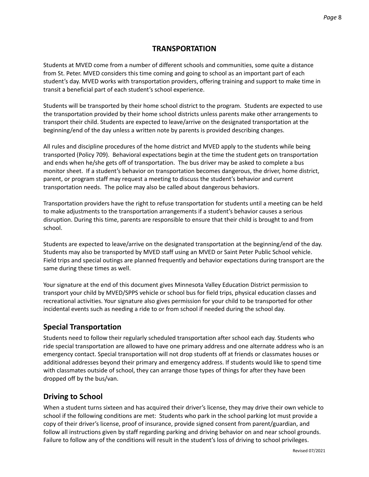## **TRANSPORTATION**

<span id="page-8-0"></span>Students at MVED come from a number of different schools and communities, some quite a distance from St. Peter. MVED considers this time coming and going to school as an important part of each student's day. MVED works with transportation providers, offering training and support to make time in transit a beneficial part of each student's school experience.

Students will be transported by their home school district to the program. Students are expected to use the transportation provided by their home school districts unless parents make other arrangements to transport their child. Students are expected to leave/arrive on the designated transportation at the beginning/end of the day unless a written note by parents is provided describing changes.

All rules and discipline procedures of the home district and MVED apply to the students while being transported (Policy 709). Behavioral expectations begin at the time the student gets on transportation and ends when he/she gets off of transportation. The bus driver may be asked to complete a bus monitor sheet. If a student's behavior on transportation becomes dangerous, the driver, home district, parent, or program staff may request a meeting to discuss the student's behavior and current transportation needs. The police may also be called about dangerous behaviors.

Transportation providers have the right to refuse transportation for students until a meeting can be held to make adjustments to the transportation arrangements if a student's behavior causes a serious disruption. During this time, parents are responsible to ensure that their child is brought to and from school.

Students are expected to leave/arrive on the designated transportation at the beginning/end of the day. Students may also be transported by MVED staff using an MVED or Saint Peter Public School vehicle. Field trips and special outings are planned frequently and behavior expectations during transport are the same during these times as well.

Your signature at the end of this document gives Minnesota Valley Education District permission to transport your child by MVED/SPPS vehicle or school bus for field trips, physical education classes and recreational activities. Your signature also gives permission for your child to be transported for other incidental events such as needing a ride to or from school if needed during the school day.

## <span id="page-8-1"></span>**Special Transportation**

Students need to follow their regularly scheduled transportation after school each day. Students who ride special transportation are allowed to have one primary address and one alternate address who is an emergency contact. Special transportation will not drop students off at friends or classmates houses or additional addresses beyond their primary and emergency address. If students would like to spend time with classmates outside of school, they can arrange those types of things for after they have been dropped off by the bus/van.

## **Driving to School**

When a student turns sixteen and has acquired their driver's license, they may drive their own vehicle to school if the following conditions are met: Students who park in the school parking lot must provide a copy of their driver's license, proof of insurance, provide signed consent from parent/guardian, and follow all instructions given by staff regarding parking and driving behavior on and near school grounds. Failure to follow any of the conditions will result in the student's loss of driving to school privileges.

Revised 07/2021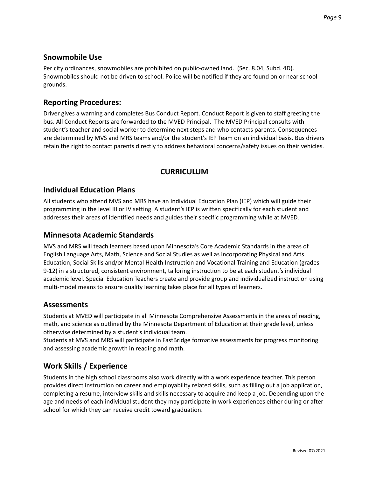## **Snowmobile Use**

Per city ordinances, snowmobiles are prohibited on public-owned land. (Sec. 8.04, Subd. 4D). Snowmobiles should not be driven to school. Police will be notified if they are found on or near school grounds.

## <span id="page-9-0"></span>**Reporting Procedures:**

Driver gives a warning and completes Bus Conduct Report. Conduct Report is given to staff greeting the bus. All Conduct Reports are forwarded to the MVED Principal. The MVED Principal consults with student's teacher and social worker to determine next steps and who contacts parents. Consequences are determined by MVS and MRS teams and/or the student's IEP Team on an individual basis. Bus drivers retain the right to contact parents directly to address behavioral concerns/safety issues on their vehicles.

## **CURRICULUM**

## <span id="page-9-2"></span><span id="page-9-1"></span>**Individual Education Plans**

All students who attend MVS and MRS have an Individual Education Plan (IEP) which will guide their programming in the level III or IV setting. A student's IEP is written specifically for each student and addresses their areas of identified needs and guides their specific programming while at MVED.

## <span id="page-9-3"></span>**Minnesota Academic Standards**

MVS and MRS will teach learners based upon Minnesota's Core Academic Standards in the areas of English Language Arts, Math, Science and Social Studies as well as incorporating Physical and Arts Education, Social Skills and/or Mental Health Instruction and Vocational Training and Education (grades 9-12) in a structured, consistent environment, tailoring instruction to be at each student's individual academic level. Special Education Teachers create and provide group and individualized instruction using multi-model means to ensure quality learning takes place for all types of learners.

## <span id="page-9-4"></span>**Assessments**

Students at MVED will participate in all Minnesota Comprehensive Assessments in the areas of reading, math, and science as outlined by the Minnesota Department of Education at their grade level, unless otherwise determined by a student's individual team.

Students at MVS and MRS will participate in FastBridge formative assessments for progress monitoring and assessing academic growth in reading and math.

# <span id="page-9-5"></span>**Work Skills / Experience**

Students in the high school classrooms also work directly with a work experience teacher. This person provides direct instruction on career and employability related skills, such as filling out a job application, completing a resume, interview skills and skills necessary to acquire and keep a job. Depending upon the age and needs of each individual student they may participate in work experiences either during or after school for which they can receive credit toward graduation.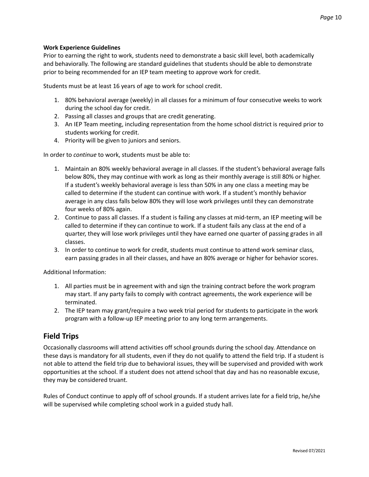#### **Work Experience Guidelines**

Prior to earning the right to work, students need to demonstrate a basic skill level, both academically and behaviorally. The following are standard guidelines that students should be able to demonstrate prior to being recommended for an IEP team meeting to approve work for credit.

Students must be at least 16 years of age to work for school credit.

- 1. 80% behavioral average (weekly) in all classes for a minimum of four consecutive weeks to work during the school day for credit.
- 2. Passing all classes and groups that are credit generating.
- 3. An IEP Team meeting, including representation from the home school district is required prior to students working for credit.
- 4. Priority will be given to juniors and seniors.

In order to *continue* to work, students must be able to:

- 1. Maintain an 80% weekly behavioral average in all classes. If the student's behavioral average falls below 80%, they may continue with work as long as their monthly average is still 80% or higher. If a student's weekly behavioral average is less than 50% in any one class a meeting may be called to determine if the student can continue with work. If a student's monthly behavior average in any class falls below 80% they will lose work privileges until they can demonstrate four weeks of 80% again.
- 2. Continue to pass all classes. If a student is failing any classes at mid-term, an IEP meeting will be called to determine if they can continue to work. If a student fails any class at the end of a quarter, they will lose work privileges until they have earned one quarter of passing grades in all classes.
- 3. In order to continue to work for credit, students must continue to attend work seminar class, earn passing grades in all their classes, and have an 80% average or higher for behavior scores.

Additional Information:

- 1. All parties must be in agreement with and sign the training contract before the work program may start. If any party fails to comply with contract agreements, the work experience will be terminated.
- 2. The IEP team may grant/require a two week trial period for students to participate in the work program with a follow-up IEP meeting prior to any long term arrangements.

#### <span id="page-10-0"></span>**Field Trips**

Occasionally classrooms will attend activities off school grounds during the school day. Attendance on these days is mandatory for all students, even if they do not qualify to attend the field trip. If a student is not able to attend the field trip due to behavioral issues, they will be supervised and provided with work opportunities at the school. If a student does not attend school that day and has no reasonable excuse, they may be considered truant.

Rules of Conduct continue to apply off of school grounds. If a student arrives late for a field trip, he/she will be supervised while completing school work in a guided study hall.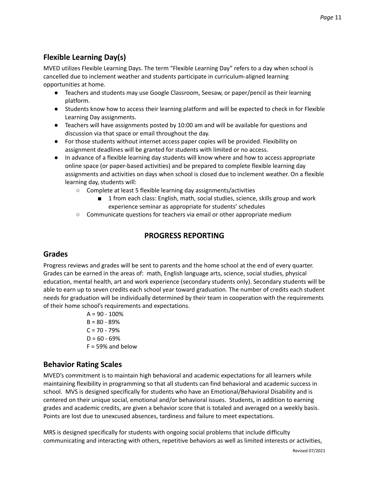# <span id="page-11-0"></span>**Flexible Learning Day(s)**

MVED utilizes Flexible Learning Days. The term "Flexible Learning Day" refers to a day when school is cancelled due to inclement weather and students participate in curriculum-aligned learning opportunities at home.

- Teachers and students may use Google Classroom, Seesaw, or paper/pencil as their learning platform.
- Students know how to access their learning platform and will be expected to check in for Flexible Learning Day assignments.
- Teachers will have assignments posted by 10:00 am and will be available for questions and discussion via that space or email throughout the day.
- For those students without internet access paper copies will be provided. Flexibility on assignment deadlines will be granted for students with limited or no access.
- In advance of a flexible learning day students will know where and how to access appropriate online space (or paper-based activities) and be prepared to complete flexible learning day assignments and activities on days when school is closed due to inclement weather. On a flexible learning day, students will:
	- Complete at least 5 flexible learning day assignments/activities
		- 1 from each class: English, math, social studies, science, skills group and work experience seminar as appropriate for students' schedules
	- Communicate questions for teachers via email or other appropriate medium

# **PROGRESS REPORTING**

# <span id="page-11-2"></span><span id="page-11-1"></span>**Grades**

Progress reviews and grades will be sent to parents and the home school at the end of every quarter. Grades can be earned in the areas of: math, English language arts, science, social studies, physical education, mental health, art and work experience (secondary students only). Secondary students will be able to earn up to seven credits each school year toward graduation. The number of credits each student needs for graduation will be individually determined by their team in cooperation with the requirements of their home school's requirements and expectations.

 $A = 90 - 100%$  $B = 80 - 89%$  $C = 70 - 79%$  $D = 60 - 69%$  $F = 59\%$  and below

# <span id="page-11-3"></span>**Behavior Rating Scales**

MVED's commitment is to maintain high behavioral and academic expectations for all learners while maintaining flexibility in programming so that all students can find behavioral and academic success in school. MVS is designed specifically for students who have an Emotional/Behavioral Disability and is centered on their unique social, emotional and/or behavioral issues. Students, in addition to earning grades and academic credits, are given a behavior score that is totaled and averaged on a weekly basis. Points are lost due to unexcused absences, tardiness and failure to meet expectations.

MRS is designed specifically for students with ongoing social problems that include difficulty communicating and interacting with others, repetitive behaviors as well as limited interests or activities,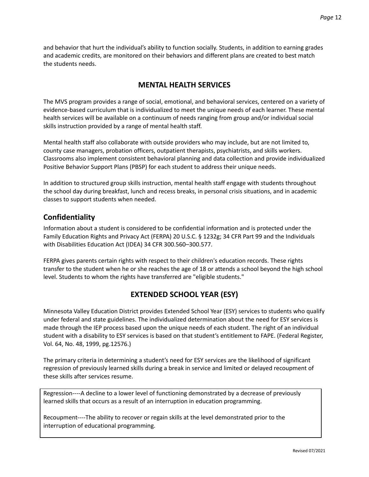and behavior that hurt the individual's ability to function socially. Students, in addition to earning grades and academic credits, are monitored on their behaviors and different plans are created to best match the students needs.

## **MENTAL HEALTH SERVICES**

<span id="page-12-0"></span>The MVS program provides a range of social, emotional, and behavioral services, centered on a variety of evidence-based curriculum that is individualized to meet the unique needs of each learner. These mental health services will be available on a continuum of needs ranging from group and/or individual social skills instruction provided by a range of mental health staff.

Mental health staff also collaborate with outside providers who may include, but are not limited to, county case managers, probation officers, outpatient therapists, psychiatrists, and skills workers. Classrooms also implement consistent behavioral planning and data collection and provide individualized Positive Behavior Support Plans (PBSP) for each student to address their unique needs.

In addition to structured group skills instruction, mental health staff engage with students throughout the school day during breakfast, lunch and recess breaks, in personal crisis situations, and in academic classes to support students when needed.

## <span id="page-12-1"></span>**Confidentiality**

Information about a student is considered to be confidential information and is protected under the Family Education Rights and Privacy Act (FERPA) 20 U.S.C. § 1232g; 34 CFR Part 99 and the Individuals with Disabilities Education Act (IDEA) 34 CFR 300.560–300.577.

FERPA gives parents certain rights with respect to their children's education records. These rights transfer to the student when he or she reaches the age of 18 or attends a school beyond the high school level. Students to whom the rights have transferred are "eligible students."

# **EXTENDED SCHOOL YEAR (ESY)**

<span id="page-12-2"></span>Minnesota Valley Education District provides Extended School Year (ESY) services to students who qualify under federal and state guidelines. The individualized determination about the need for ESY services is made through the IEP process based upon the unique needs of each student. The right of an individual student with a disability to ESY services is based on that student's entitlement to FAPE. (Federal Register, Vol. 64, No. 48, 1999, pg.12576.)

The primary criteria in determining a student's need for ESY services are the likelihood of significant regression of previously learned skills during a break in service and limited or delayed recoupment of these skills after services resume.

Regression----A decline to a lower level of functioning demonstrated by a decrease of previously learned skills that occurs as a result of an interruption in education programming.

Recoupment----The ability to recover or regain skills at the level demonstrated prior to the interruption of educational programming.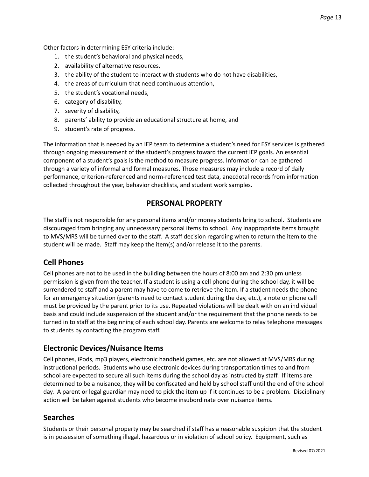Other factors in determining ESY criteria include:

- 1. the student's behavioral and physical needs,
- 2. availability of alternative resources,
- 3. the ability of the student to interact with students who do not have disabilities,
- 4. the areas of curriculum that need continuous attention,
- 5. the student's vocational needs,
- 6. category of disability,
- 7. severity of disability,
- 8. parents' ability to provide an educational structure at home, and
- 9. student's rate of progress.

The information that is needed by an IEP team to determine a student's need for ESY services is gathered through ongoing measurement of the student's progress toward the current IEP goals. An essential component of a student's goals is the method to measure progress. Information can be gathered through a variety of informal and formal measures. Those measures may include a record of daily performance, criterion-referenced and norm-referenced test data, anecdotal records from information collected throughout the year, behavior checklists, and student work samples.

# **PERSONAL PROPERTY**

<span id="page-13-0"></span>The staff is not responsible for any personal items and/or money students bring to school. Students are discouraged from bringing any unnecessary personal items to school. Any inappropriate items brought to MVS/MRS will be turned over to the staff. A staff decision regarding when to return the item to the student will be made. Staff may keep the item(s) and/or release it to the parents.

## <span id="page-13-1"></span>**Cell Phones**

Cell phones are not to be used in the building between the hours of 8:00 am and 2:30 pm unless permission is given from the teacher. If a student is using a cell phone during the school day, it will be surrendered to staff and a parent may have to come to retrieve the item. If a student needs the phone for an emergency situation (parents need to contact student during the day, etc.), a note or phone call must be provided by the parent prior to its use. Repeated violations will be dealt with on an individual basis and could include suspension of the student and/or the requirement that the phone needs to be turned in to staff at the beginning of each school day. Parents are welcome to relay telephone messages to students by contacting the program staff.

## <span id="page-13-2"></span>**Electronic Devices/Nuisance Items**

Cell phones, iPods, mp3 players, electronic handheld games, etc. are not allowed at MVS/MRS during instructional periods. Students who use electronic devices during transportation times to and from school are expected to secure all such items during the school day as instructed by staff. If items are determined to be a nuisance, they will be confiscated and held by school staff until the end of the school day. A parent or legal guardian may need to pick the item up if it continues to be a problem. Disciplinary action will be taken against students who become insubordinate over nuisance items.

## <span id="page-13-3"></span>**Searches**

Students or their personal property may be searched if staff has a reasonable suspicion that the student is in possession of something illegal, hazardous or in violation of school policy. Equipment, such as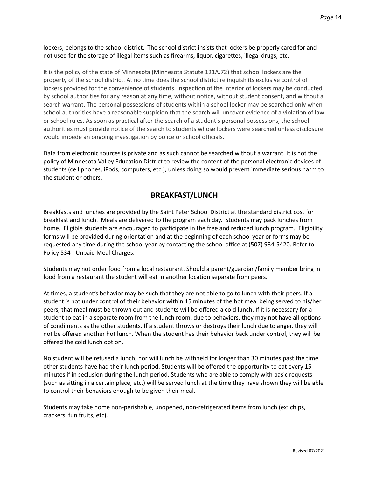lockers, belongs to the school district. The school district insists that lockers be properly cared for and not used for the storage of illegal items such as firearms, liquor, cigarettes, illegal drugs, etc.

It is the policy of the state of Minnesota (Minnesota Statute 121A.72) that school lockers are the property of the school district. At no time does the school district relinquish its exclusive control of lockers provided for the convenience of students. Inspection of the interior of lockers may be conducted by school authorities for any reason at any time, without notice, without student consent, and without a search warrant. The personal possessions of students within a school locker may be searched only when school authorities have a reasonable suspicion that the search will uncover evidence of a violation of law or school rules. As soon as practical after the search of a student's personal possessions, the school authorities must provide notice of the search to students whose lockers were searched unless disclosure would impede an ongoing investigation by police or school officials.

Data from electronic sources is private and as such cannot be searched without a warrant. It is not the policy of Minnesota Valley Education District to review the content of the personal electronic devices of students (cell phones, iPods, computers, etc.), unless doing so would prevent immediate serious harm to the student or others.

#### **BREAKFAST/LUNCH**

<span id="page-14-0"></span>Breakfasts and lunches are provided by the Saint Peter School District at the standard district cost for breakfast and lunch. Meals are delivered to the program each day. Students may pack lunches from home. Eligible students are encouraged to participate in the free and reduced lunch program. Eligibility forms will be provided during orientation and at the beginning of each school year or forms may be requested any time during the school year by contacting the school office at (507) 934-5420. Refer to Policy 534 - Unpaid Meal Charges.

Students may not order food from a local restaurant. Should a parent/guardian/family member bring in food from a restaurant the student will eat in another location separate from peers.

At times, a student's behavior may be such that they are not able to go to lunch with their peers. If a student is not under control of their behavior within 15 minutes of the hot meal being served to his/her peers, that meal must be thrown out and students will be offered a cold lunch. If it is necessary for a student to eat in a separate room from the lunch room, due to behaviors, they may not have all options of condiments as the other students. If a student throws or destroys their lunch due to anger, they will not be offered another hot lunch. When the student has their behavior back under control, they will be offered the cold lunch option.

No student will be refused a lunch, nor will lunch be withheld for longer than 30 minutes past the time other students have had their lunch period. Students will be offered the opportunity to eat every 15 minutes if in seclusion during the lunch period. Students who are able to comply with basic requests (such as sitting in a certain place, etc.) will be served lunch at the time they have shown they will be able to control their behaviors enough to be given their meal.

Students may take home non-perishable, unopened, non-refrigerated items from lunch (ex: chips, crackers, fun fruits, etc).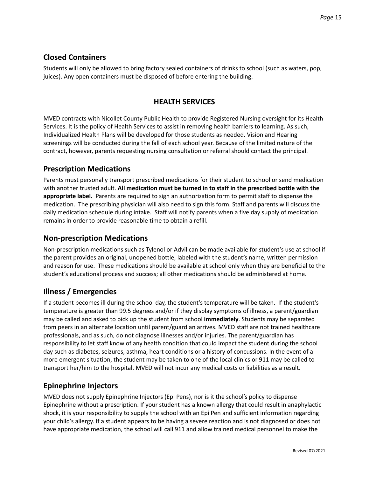# <span id="page-15-0"></span>**Closed Containers**

Students will only be allowed to bring factory sealed containers of drinks to school (such as waters, pop, juices). Any open containers must be disposed of before entering the building.

## **HEALTH SERVICES**

<span id="page-15-1"></span>MVED contracts with Nicollet County Public Health to provide Registered Nursing oversight for its Health Services. It is the policy of Health Services to assist in removing health barriers to learning. As such, Individualized Health Plans will be developed for those students as needed. Vision and Hearing screenings will be conducted during the fall of each school year. Because of the limited nature of the contract, however, parents requesting nursing consultation or referral should contact the principal.

## <span id="page-15-2"></span>**Prescription Medications**

Parents must personally transport prescribed medications for their student to school or send medication with another trusted adult. **All medication must be turned in to staff in the prescribed bottle with the appropriate label.** Parents are required to sign an authorization form to permit staff to dispense the medication. The prescribing physician will also need to sign this form. Staff and parents will discuss the daily medication schedule during intake. Staff will notify parents when a five day supply of medication remains in order to provide reasonable time to obtain a refill.

## <span id="page-15-3"></span>**Non-prescription Medications**

Non-prescription medications such as Tylenol or Advil can be made available for student's use at school if the parent provides an original, unopened bottle, labeled with the student's name, written permission and reason for use. These medications should be available at school only when they are beneficial to the student's educational process and success; all other medications should be administered at home.

## <span id="page-15-4"></span>**Illness / Emergencies**

If a student becomes ill during the school day, the student's temperature will be taken. If the student's temperature is greater than 99.5 degrees and/or if they display symptoms of illness, a parent/guardian may be called and asked to pick up the student from school **immediately**. Students may be separated from peers in an alternate location until parent/guardian arrives. MVED staff are not trained healthcare professionals, and as such, do not diagnose illnesses and/or injuries. The parent/guardian has responsibility to let staff know of any health condition that could impact the student during the school day such as diabetes, seizures, asthma, heart conditions or a history of concussions. In the event of a more emergent situation, the student may be taken to one of the local clinics or 911 may be called to transport her/him to the hospital. MVED will not incur any medical costs or liabilities as a result.

## <span id="page-15-5"></span>**Epinephrine Injectors**

MVED does not supply Epinephrine Injectors (Epi Pens), nor is it the school's policy to dispense Epinephrine without a prescription. If your student has a known allergy that could result in anaphylactic shock, it is your responsibility to supply the school with an Epi Pen and sufficient information regarding your child's allergy. If a student appears to be having a severe reaction and is not diagnosed or does not have appropriate medication, the school will call 911 and allow trained medical personnel to make the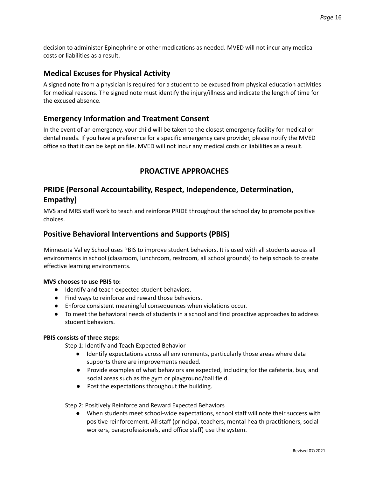decision to administer Epinephrine or other medications as needed. MVED will not incur any medical costs or liabilities as a result.

## <span id="page-16-0"></span>**Medical Excuses for Physical Activity**

A signed note from a physician is required for a student to be excused from physical education activities for medical reasons. The signed note must identify the injury/illness and indicate the length of time for the excused absence.

## <span id="page-16-1"></span>**Emergency Information and Treatment Consent**

In the event of an emergency, your child will be taken to the closest emergency facility for medical or dental needs. If you have a preference for a specific emergency care provider, please notify the MVED office so that it can be kept on file. MVED will not incur any medical costs or liabilities as a result.

# **PROACTIVE APPROACHES**

# <span id="page-16-3"></span><span id="page-16-2"></span>**PRIDE (Personal Accountability, Respect, Independence, Determination, Empathy)**

MVS and MRS staff work to teach and reinforce PRIDE throughout the school day to promote positive choices.

## <span id="page-16-4"></span>**Positive Behavioral Interventions and Supports (PBIS)**

Minnesota Valley School uses PBIS to improve student behaviors. It is used with all students across all environments in school (classroom, lunchroom, restroom, all school grounds) to help schools to create effective learning environments.

#### **MVS chooses to use PBIS to:**

- Identify and teach expected student behaviors.
- Find ways to reinforce and reward those behaviors.
- Enforce consistent meaningful consequences when violations occur.
- To meet the behavioral needs of students in a school and find proactive approaches to address student behaviors.

#### **PBIS consists of three steps:**

- Step 1: Identify and Teach Expected Behavior
	- Identify expectations across all environments, particularly those areas where data supports there are improvements needed.
	- Provide examples of what behaviors are expected, including for the cafeteria, bus, and social areas such as the gym or playground/ball field.
	- Post the expectations throughout the building.

#### Step 2: Positively Reinforce and Reward Expected Behaviors

When students meet school-wide expectations, school staff will note their success with positive reinforcement. All staff (principal, teachers, mental health practitioners, social workers, paraprofessionals, and office staff) use the system.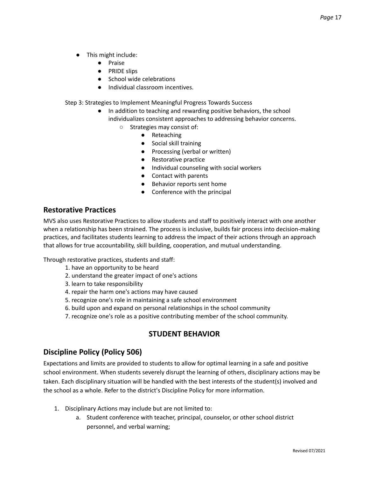- This might include:
	- Praise
	- PRIDE slips
	- School wide celebrations
	- Individual classroom incentives.

Step 3: Strategies to Implement Meaningful Progress Towards Success

- In addition to teaching and rewarding positive behaviors, the school individualizes consistent approaches to addressing behavior concerns.
	- Strategies may consist of:
		- Reteaching
		- Social skill training
		- Processing (verbal or written)
		- Restorative practice
		- Individual counseling with social workers
		- Contact with parents
		- Behavior reports sent home
		- Conference with the principal

#### <span id="page-17-0"></span>**Restorative Practices**

MVS also uses Restorative Practices to allow students and staff to positively interact with one another when a relationship has been strained. The process is inclusive, builds fair process into decision-making practices, and facilitates students learning to address the impact of their actions through an approach that allows for true accountability, skill building, cooperation, and mutual understanding.

Through restorative practices, students and staff:

- 1. have an opportunity to be heard
- 2. understand the greater impact of one's actions
- 3. learn to take responsibility
- 4. repair the harm one's actions may have caused
- 5. recognize one's role in maintaining a safe school environment
- 6. build upon and expand on personal relationships in the school community
- 7. recognize one's role as a positive contributing member of the school community.

## **STUDENT BEHAVIOR**

## <span id="page-17-2"></span><span id="page-17-1"></span>**Discipline Policy (Policy 506)**

Expectations and limits are provided to students to allow for optimal learning in a safe and positive school environment. When students severely disrupt the learning of others, disciplinary actions may be taken. Each disciplinary situation will be handled with the best interests of the student(s) involved and the school as a whole. Refer to the district's Discipline Policy for more information.

- 1. Disciplinary Actions may include but are not limited to:
	- a. Student conference with teacher, principal, counselor, or other school district personnel, and verbal warning;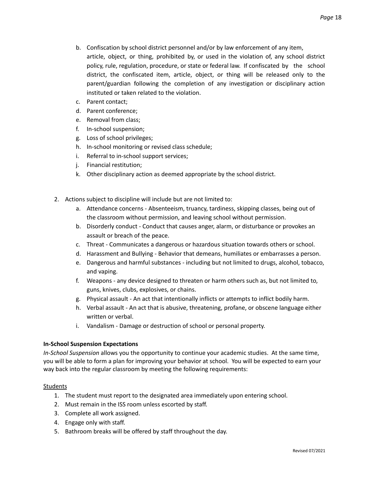- b. Confiscation by school district personnel and/or by law enforcement of any item, article, object, or thing, prohibited by, or used in the violation of, any school district policy, rule, regulation, procedure, or state or federal law. If confiscated by the school district, the confiscated item, article, object, or thing will be released only to the parent/guardian following the completion of any investigation or disciplinary action instituted or taken related to the violation.
- c. Parent contact;
- d. Parent conference;
- e. Removal from class;
- f. In-school suspension;
- g. Loss of school privileges;
- h. In-school monitoring or revised class schedule;
- i. Referral to in-school support services;
- j. Financial restitution;
- k. Other disciplinary action as deemed appropriate by the school district.
- 2. Actions subject to discipline will include but are not limited to:
	- a. Attendance concerns Absenteeism, truancy, tardiness, skipping classes, being out of the classroom without permission, and leaving school without permission.
	- b. Disorderly conduct Conduct that causes anger, alarm, or disturbance or provokes an assault or breach of the peace.
	- c. Threat Communicates a dangerous or hazardous situation towards others or school.
	- d. Harassment and Bullying Behavior that demeans, humiliates or embarrasses a person.
	- e. Dangerous and harmful substances including but not limited to drugs, alcohol, tobacco, and vaping.
	- f. Weapons any device designed to threaten or harm others such as, but not limited to, guns, knives, clubs, explosives, or chains.
	- g. Physical assault An act that intentionally inflicts or attempts to inflict bodily harm.
	- h. Verbal assault An act that is abusive, threatening, profane, or obscene language either written or verbal.
	- i. Vandalism Damage or destruction of school or personal property.

#### **In-School Suspension Expectations**

*In-School Suspension* allows you the opportunity to continue your academic studies. At the same time, you will be able to form a plan for improving your behavior at school. You will be expected to earn your way back into the regular classroom by meeting the following requirements:

#### Students

- 1. The student must report to the designated area immediately upon entering school.
- 2. Must remain in the ISS room unless escorted by staff.
- 3. Complete all work assigned.
- 4. Engage only with staff.
- 5. Bathroom breaks will be offered by staff throughout the day.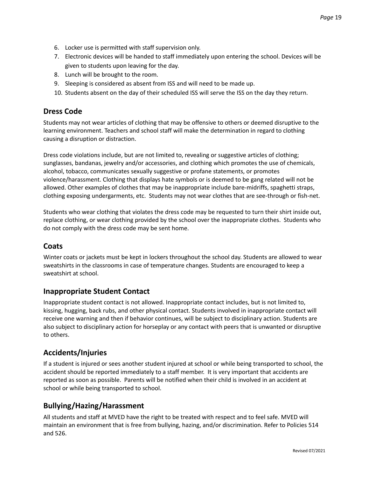- 6. Locker use is permitted with staff supervision only.
- 7. Electronic devices will be handed to staff immediately upon entering the school. Devices will be given to students upon leaving for the day.
- 8. Lunch will be brought to the room.
- 9. Sleeping is considered as absent from ISS and will need to be made up.
- 10. Students absent on the day of their scheduled ISS will serve the ISS on the day they return.

## <span id="page-19-0"></span>**Dress Code**

Students may not wear articles of clothing that may be offensive to others or deemed disruptive to the learning environment. Teachers and school staff will make the determination in regard to clothing causing a disruption or distraction.

Dress code violations include, but are not limited to, revealing or suggestive articles of clothing; sunglasses, bandanas, jewelry and/or accessories, and clothing which promotes the use of chemicals, alcohol, tobacco, communicates sexually suggestive or profane statements, or promotes violence/harassment. Clothing that displays hate symbols or is deemed to be gang related will not be allowed. Other examples of clothes that may be inappropriate include bare-midriffs, spaghetti straps, clothing exposing undergarments, etc. Students may not wear clothes that are see-through or fish-net.

Students who wear clothing that violates the dress code may be requested to turn their shirt inside out, replace clothing, or wear clothing provided by the school over the inappropriate clothes. Students who do not comply with the dress code may be sent home.

## **Coats**

Winter coats or jackets must be kept in lockers throughout the school day. Students are allowed to wear sweatshirts in the classrooms in case of temperature changes. Students are encouraged to keep a sweatshirt at school.

## <span id="page-19-1"></span>**Inappropriate Student Contact**

Inappropriate student contact is not allowed. Inappropriate contact includes, but is not limited to, kissing, hugging, back rubs, and other physical contact. Students involved in inappropriate contact will receive one warning and then if behavior continues, will be subject to disciplinary action. Students are also subject to disciplinary action for horseplay or any contact with peers that is unwanted or disruptive to others.

## <span id="page-19-2"></span>**Accidents/Injuries**

If a student is injured or sees another student injured at school or while being transported to school, the accident should be reported immediately to a staff member. It is very important that accidents are reported as soon as possible. Parents will be notified when their child is involved in an accident at school or while being transported to school.

## <span id="page-19-3"></span>**Bullying/Hazing/Harassment**

All students and staff at MVED have the right to be treated with respect and to feel safe. MVED will maintain an environment that is free from bullying, hazing, and/or discrimination. Refer to Policies 514 and 526.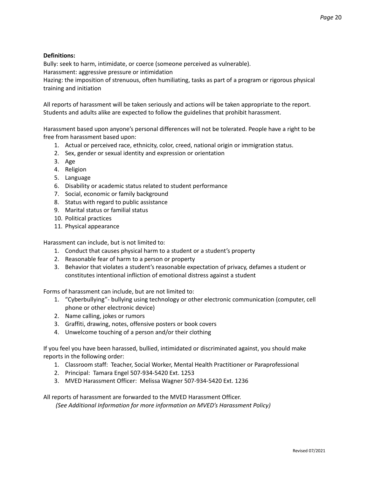#### **Definitions:**

Bully: seek to harm, intimidate, or coerce (someone perceived as vulnerable).

Harassment: aggressive pressure or intimidation

Hazing: the imposition of strenuous, often humiliating, tasks as part of a program or rigorous physical training and initiation

All reports of harassment will be taken seriously and actions will be taken appropriate to the report. Students and adults alike are expected to follow the guidelines that prohibit harassment.

Harassment based upon anyone's personal differences will not be tolerated. People have a right to be free from harassment based upon:

- 1. Actual or perceived race, ethnicity, color, creed, national origin or immigration status.
- 2. Sex, gender or sexual identity and expression or orientation
- 3. Age
- 4. Religion
- 5. Language
- 6. Disability or academic status related to student performance
- 7. Social, economic or family background
- 8. Status with regard to public assistance
- 9. Marital status or familial status
- 10. Political practices
- 11. Physical appearance

Harassment can include, but is not limited to:

- 1. Conduct that causes physical harm to a student or a student's property
- 2. Reasonable fear of harm to a person or property
- 3. Behavior that violates a student's reasonable expectation of privacy, defames a student or constitutes intentional infliction of emotional distress against a student

Forms of harassment can include, but are not limited to:

- 1. "Cyberbullying"- bullying using technology or other electronic communication (computer, cell phone or other electronic device)
- 2. Name calling, jokes or rumors
- 3. Graffiti, drawing, notes, offensive posters or book covers
- 4. Unwelcome touching of a person and/or their clothing

If you feel you have been harassed, bullied, intimidated or discriminated against, you should make reports in the following order:

- 1. Classroom staff: Teacher, Social Worker, Mental Health Practitioner or Paraprofessional
- 2. Principal: Tamara Engel 507-934-5420 Ext. 1253
- 3. MVED Harassment Officer: Melissa Wagner 507-934-5420 Ext. 1236

All reports of harassment are forwarded to the MVED Harassment Officer.

*(See Additional Information for more information on MVED's Harassment Policy)*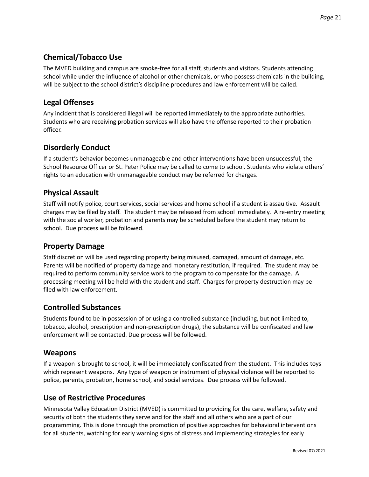# <span id="page-21-0"></span>**Chemical/Tobacco Use**

The MVED building and campus are smoke-free for all staff, students and visitors. Students attending school while under the influence of alcohol or other chemicals, or who possess chemicals in the building, will be subject to the school district's discipline procedures and law enforcement will be called.

## <span id="page-21-1"></span>**Legal Offenses**

Any incident that is considered illegal will be reported immediately to the appropriate authorities. Students who are receiving probation services will also have the offense reported to their probation officer.

## <span id="page-21-2"></span>**Disorderly Conduct**

If a student's behavior becomes unmanageable and other interventions have been unsuccessful, the School Resource Officer or St. Peter Police may be called to come to school. Students who violate others' rights to an education with unmanageable conduct may be referred for charges.

## <span id="page-21-3"></span>**Physical Assault**

Staff will notify police, court services, social services and home school if a student is assaultive. Assault charges may be filed by staff. The student may be released from school immediately. A re-entry meeting with the social worker, probation and parents may be scheduled before the student may return to school. Due process will be followed.

## <span id="page-21-4"></span>**Property Damage**

Staff discretion will be used regarding property being misused, damaged, amount of damage, etc. Parents will be notified of property damage and monetary restitution, if required. The student may be required to perform community service work to the program to compensate for the damage. A processing meeting will be held with the student and staff. Charges for property destruction may be filed with law enforcement.

## <span id="page-21-5"></span>**Controlled Substances**

Students found to be in possession of or using a controlled substance (including, but not limited to, tobacco, alcohol, prescription and non-prescription drugs), the substance will be confiscated and law enforcement will be contacted. Due process will be followed.

## <span id="page-21-6"></span>**Weapons**

If a weapon is brought to school, it will be immediately confiscated from the student. This includes toys which represent weapons. Any type of weapon or instrument of physical violence will be reported to police, parents, probation, home school, and social services. Due process will be followed.

## <span id="page-21-7"></span>**Use of Restrictive Procedures**

Minnesota Valley Education District (MVED) is committed to providing for the care, welfare, safety and security of both the students they serve and for the staff and all others who are a part of our programming. This is done through the promotion of positive approaches for behavioral interventions for all students, watching for early warning signs of distress and implementing strategies for early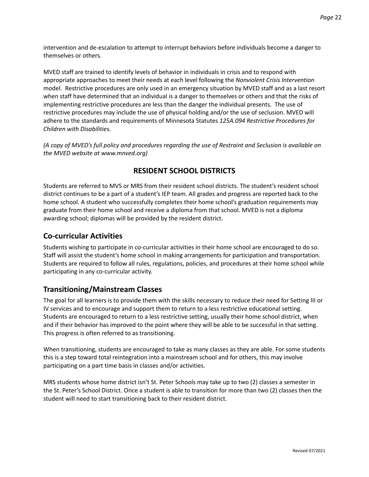intervention and de-escalation to attempt to interrupt behaviors before individuals become a danger to themselves or others.

MVED staff are trained to identify levels of behavior in individuals in crisis and to respond with appropriate approaches to meet their needs at each level following the *Nonviolent Crisis Intervention* model. Restrictive procedures are only used in an emergency situation by MVED staff and as a last resort when staff have determined that an individual is a danger to themselves or others and that the risks of implementing restrictive procedures are less than the danger the individual presents. The use of restrictive procedures may include the use of physical holding and/or the use of seclusion. MVED will adhere to the standards and requirements of Minnesota Statutes *125A.094 Restrictive Procedures for Children with Disabilities.*

(A copy of MVED's full policy and procedures regarding the use of Restraint and Seclusion is available on *the MVED website at www.mnved.org)*

# **RESIDENT SCHOOL DISTRICTS**

<span id="page-22-0"></span>Students are referred to MVS or MRS from their resident school districts. The student's resident school district continues to be a part of a student's IEP team. All grades and progress are reported back to the home school. A student who successfully completes their home school's graduation requirements may graduate from their home school and receive a diploma from that school. MVED is not a diploma awarding school; diplomas will be provided by the resident district.

## <span id="page-22-1"></span>**Co-curricular Activities**

Students wishing to participate in co-curricular activities in their home school are encouraged to do so. Staff will assist the student's home school in making arrangements for participation and transportation. Students are required to follow all rules, regulations, policies, and procedures at their home school while participating in any co-curricular activity.

## <span id="page-22-2"></span>**Transitioning/Mainstream Classes**

The goal for all learners is to provide them with the skills necessary to reduce their need for Setting III or IV services and to encourage and support them to return to a less restrictive educational setting. Students are encouraged to return to a less restrictive setting, usually their home school district, when and if their behavior has improved to the point where they will be able to be successful in that setting. This progress is often referred to as transitioning.

When transitioning, students are encouraged to take as many classes as they are able. For some students this is a step toward total reintegration into a mainstream school and for others, this may involve participating on a part time basis in classes and/or activities.

MRS students whose home district isn't St. Peter Schools may take up to two (2) classes a semester in the St. Peter's School District. Once a student is able to transition for more than two (2) classes then the student will need to start transitioning back to their resident district.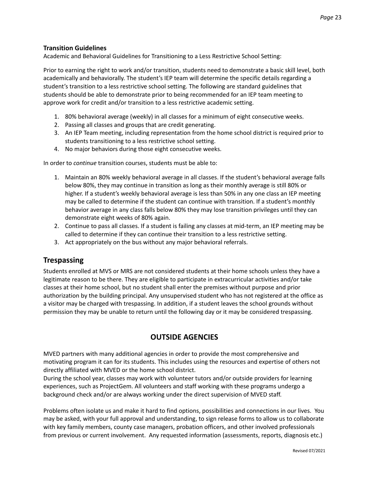#### **Transition Guidelines**

Academic and Behavioral Guidelines for Transitioning to a Less Restrictive School Setting:

Prior to earning the right to work and/or transition, students need to demonstrate a basic skill level, both academically and behaviorally. The student's IEP team will determine the specific details regarding a student's transition to a less restrictive school setting. The following are standard guidelines that students should be able to demonstrate prior to being recommended for an IEP team meeting to approve work for credit and/or transition to a less restrictive academic setting.

- 1. 80% behavioral average (weekly) in all classes for a minimum of eight consecutive weeks.
- 2. Passing all classes and groups that are credit generating.
- 3. An IEP Team meeting, including representation from the home school district is required prior to students transitioning to a less restrictive school setting.
- 4. No major behaviors during those eight consecutive weeks.

In order to *continue* transition courses, students must be able to:

- 1. Maintain an 80% weekly behavioral average in all classes. If the student's behavioral average falls below 80%, they may continue in transition as long as their monthly average is still 80% or higher. If a student's weekly behavioral average is less than 50% in any one class an IEP meeting may be called to determine if the student can continue with transition. If a student's monthly behavior average in any class falls below 80% they may lose transition privileges until they can demonstrate eight weeks of 80% again.
- 2. Continue to pass all classes. If a student is failing any classes at mid-term, an IEP meeting may be called to determine if they can continue their transition to a less restrictive setting.
- 3. Act appropriately on the bus without any major behavioral referrals.

## <span id="page-23-0"></span>**Trespassing**

Students enrolled at MVS or MRS are not considered students at their home schools unless they have a legitimate reason to be there. They are eligible to participate in extracurricular activities and/or take classes at their home school, but no student shall enter the premises without purpose and prior authorization by the building principal. Any unsupervised student who has not registered at the office as a visitor may be charged with trespassing. In addition, if a student leaves the school grounds without permission they may be unable to return until the following day or it may be considered trespassing.

## **OUTSIDE AGENCIES**

<span id="page-23-1"></span>MVED partners with many additional agencies in order to provide the most comprehensive and motivating program it can for its students. This includes using the resources and expertise of others not directly affiliated with MVED or the home school district.

During the school year, classes may work with volunteer tutors and/or outside providers for learning experiences, such as ProjectGem. All volunteers and staff working with these programs undergo a background check and/or are always working under the direct supervision of MVED staff.

Problems often isolate us and make it hard to find options, possibilities and connections in our lives. You may be asked, with your full approval and understanding, to sign release forms to allow us to collaborate with key family members, county case managers, probation officers, and other involved professionals from previous or current involvement. Any requested information (assessments, reports, diagnosis etc.)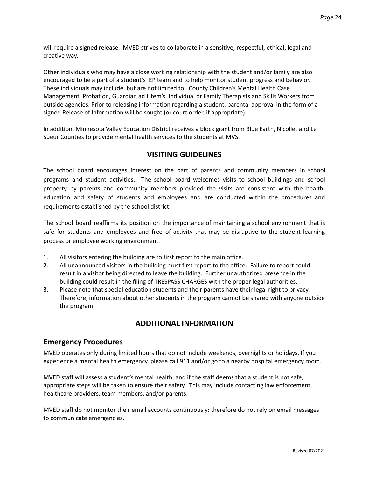will require a signed release. MVED strives to collaborate in a sensitive, respectful, ethical, legal and creative way.

Other individuals who may have a close working relationship with the student and/or family are also encouraged to be a part of a student's IEP team and to help monitor student progress and behavior. These individuals may include, but are not limited to: County Children's Mental Health Case Management, Probation, Guardian ad Litem's, Individual or Family Therapists and Skills Workers from outside agencies. Prior to releasing information regarding a student, parental approval in the form of a signed Release of Information will be sought (or court order, if appropriate).

In addition, Minnesota Valley Education District receives a block grant from Blue Earth, Nicollet and Le Sueur Counties to provide mental health services to the students at MVS.

## **VISITING GUIDELINES**

<span id="page-24-0"></span>The school board encourages interest on the part of parents and community members in school programs and student activities. The school board welcomes visits to school buildings and school property by parents and community members provided the visits are consistent with the health, education and safety of students and employees and are conducted within the procedures and requirements established by the school district.

The school board reaffirms its position on the importance of maintaining a school environment that is safe for students and employees and free of activity that may be disruptive to the student learning process or employee working environment.

- 1. All visitors entering the building are to first report to the main office.
- 2. All unannounced visitors in the building must first report to the office. Failure to report could result in a visitor being directed to leave the building. Further unauthorized presence in the building could result in the filing of TRESPASS CHARGES with the proper legal authorities.
- 3. Please note that special education students and their parents have their legal right to privacy. Therefore, information about other students in the program cannot be shared with anyone outside the program.

## **ADDITIONAL INFORMATION**

## <span id="page-24-2"></span><span id="page-24-1"></span>**Emergency Procedures**

MVED operates only during limited hours that do not include weekends, overnights or holidays. If you experience a mental health emergency, please call 911 and/or go to a nearby hospital emergency room.

MVED staff will assess a student's mental health, and if the staff deems that a student is not safe, appropriate steps will be taken to ensure their safety. This may include contacting law enforcement, healthcare providers, team members, and/or parents.

MVED staff do not monitor their email accounts continuously; therefore do not rely on email messages to communicate emergencies.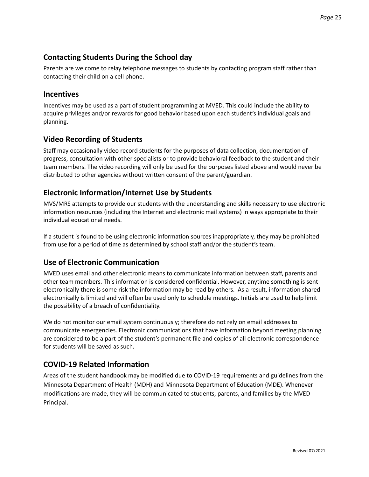# <span id="page-25-0"></span>**Contacting Students During the School day**

Parents are welcome to relay telephone messages to students by contacting program staff rather than contacting their child on a cell phone.

#### <span id="page-25-1"></span>**Incentives**

Incentives may be used as a part of student programming at MVED. This could include the ability to acquire privileges and/or rewards for good behavior based upon each student's individual goals and planning.

## <span id="page-25-2"></span>**Video Recording of Students**

Staff may occasionally video record students for the purposes of data collection, documentation of progress, consultation with other specialists or to provide behavioral feedback to the student and their team members. The video recording will only be used for the purposes listed above and would never be distributed to other agencies without written consent of the parent/guardian.

## <span id="page-25-3"></span>**Electronic Information/Internet Use by Students**

MVS/MRS attempts to provide our students with the understanding and skills necessary to use electronic information resources (including the Internet and electronic mail systems) in ways appropriate to their individual educational needs.

If a student is found to be using electronic information sources inappropriately, they may be prohibited from use for a period of time as determined by school staff and/or the student's team.

## <span id="page-25-4"></span>**Use of Electronic Communication**

MVED uses email and other electronic means to communicate information between staff, parents and other team members. This information is considered confidential. However, anytime something is sent electronically there is some risk the information may be read by others. As a result, information shared electronically is limited and will often be used only to schedule meetings. Initials are used to help limit the possibility of a breach of confidentiality.

We do not monitor our email system continuously; therefore do not rely on email addresses to communicate emergencies. Electronic communications that have information beyond meeting planning are considered to be a part of the student's permanent file and copies of all electronic correspondence for students will be saved as such.

## <span id="page-25-5"></span>**COVID-19 Related Information**

Areas of the student handbook may be modified due to COVID-19 requirements and guidelines from the Minnesota Department of Health (MDH) and Minnesota Department of Education (MDE). Whenever modifications are made, they will be communicated to students, parents, and families by the MVED Principal.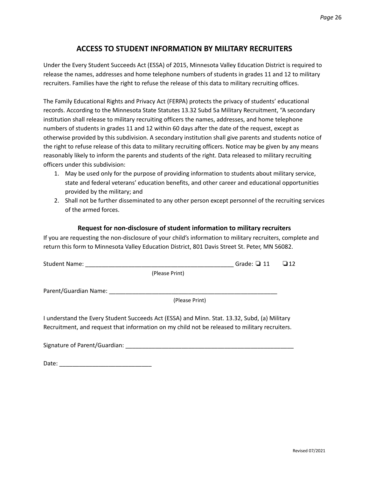## **ACCESS TO STUDENT INFORMATION BY MILITARY RECRUITERS**

<span id="page-26-0"></span>Under the Every Student Succeeds Act (ESSA) of 2015, Minnesota Valley Education District is required to release the names, addresses and home telephone numbers of students in grades 11 and 12 to military recruiters. Families have the right to refuse the release of this data to military recruiting offices.

The Family Educational Rights and Privacy Act (FERPA) protects the privacy of students' educational records. According to the Minnesota State Statutes 13.32 Subd 5a Military Recruitment, "A secondary institution shall release to military recruiting officers the names, addresses, and home telephone numbers of students in grades 11 and 12 within 60 days after the date of the request, except as otherwise provided by this subdivision. A secondary institution shall give parents and students notice of the right to refuse release of this data to military recruiting officers. Notice may be given by any means reasonably likely to inform the parents and students of the right. Data released to military recruiting officers under this subdivision:

- 1. May be used only for the purpose of providing information to students about military service, state and federal veterans' education benefits, and other career and educational opportunities provided by the military; and
- 2. Shall not be further disseminated to any other person except personnel of the recruiting services of the armed forces.

#### **Request for non-disclosure of student information to military recruiters**

If you are requesting the non-disclosure of your child's information to military recruiters, complete and return this form to Minnesota Valley Education District, 801 Davis Street St. Peter, MN 56082.

| <b>Student Name:</b>  | Grade: $\Box$ 11 | $\square$ 12 |
|-----------------------|------------------|--------------|
| (Please Print)        |                  |              |
| Parent/Guardian Name: |                  |              |

(Please Print)

I understand the Every Student Succeeds Act (ESSA) and Minn. Stat. 13.32, Subd, (a) Military Recruitment, and request that information on my child not be released to military recruiters.

Signature of Parent/Guardian: **Example 2018** 

Date: \_\_\_\_\_\_\_\_\_\_\_\_\_\_\_\_\_\_\_\_\_\_\_\_\_\_\_\_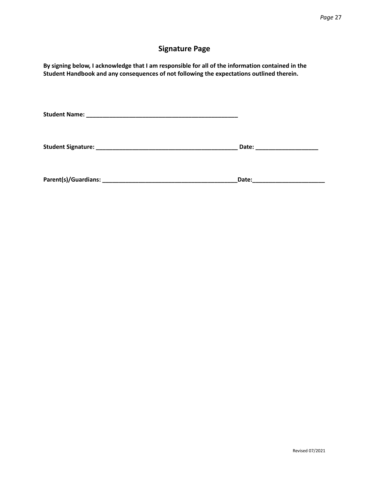# **Signature Page**

**By signing below, I acknowledge that I am responsible for all of the information contained in the Student Handbook and any consequences of not following the expectations outlined therein.**

| <b>Student Name:</b> |       |  |
|----------------------|-------|--|
|                      | Date: |  |
| Parent(s)/Guardians: | Date: |  |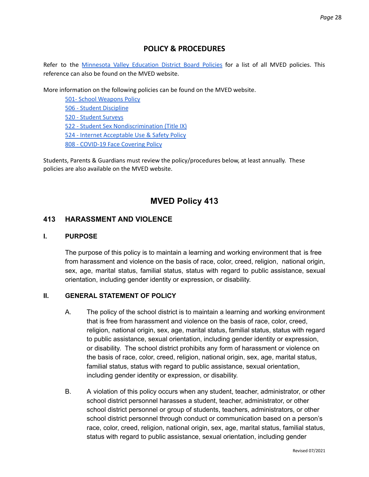## **POLICY & PROCEDURES**

<span id="page-28-0"></span>Refer to the [Minnesota](https://docs.google.com/document/d/1OHCXxR1IrRBikC9hsedIQH9xrf7fJ5HNWaG8t_MeRQE/edit?usp=sharing) Valley Education District Board Policies for a list of all MVED policies. This reference can also be found on the MVED website.

More information on the following policies can be found on the MVED website.

501- School [Weapons](https://docs.google.com/document/d/1LOSz3rlVeaDP6LovjE0e_gfe8LIAPtf1UmyHe5PIVZo/edit?usp=sharing) Policy - Student [Discipline](https://docs.google.com/document/d/1x3mgecpzVRliNvgxZN6-F_Y6cEU8xeIBAI68UilEq3w/edit?usp=sharing) - [Student](https://docs.google.com/document/d/1ils1TK2iNZ6b5P9J1O8VKruDxNm4bLaXAEJXBYLLKtA/edit?usp=sharing) Surveys - Student Sex [Nondiscrimination](https://docs.google.com/document/d/1DvP9nlXQgQAv_YGMZcm-zGhaY8fnYq8UbNJwalpQSMA/edit?usp=sharing) (Title IX) - Internet [Acceptable](https://docs.google.com/document/d/1z4RANs5xlJOHxSbFjoJ7H9lAgjLwthnUkfiIaIE7W4M/edit?usp=sharing) Use & Safety Policy - [COVID-19](https://docs.google.com/document/d/1j0pT5-jKP9gE7iJ3kkZpeaypOheJtmp7sfnU0cVRDQg/edit?usp=sharing) Face Covering Policy

Students, Parents & Guardians must review the policy/procedures below, at least annually. These policies are also available on the MVED website.

# **MVED Policy 413**

#### **413 HARASSMENT AND VIOLENCE**

#### **I. PURPOSE**

The purpose of this policy is to maintain a learning and working environment that is free from harassment and violence on the basis of race, color, creed, religion, national origin, sex, age, marital status, familial status, status with regard to public assistance, sexual orientation, including gender identity or expression, or disability.

#### **II. GENERAL STATEMENT OF POLICY**

- A. The policy of the school district is to maintain a learning and working environment that is free from harassment and violence on the basis of race, color, creed, religion, national origin, sex, age, marital status, familial status, status with regard to public assistance, sexual orientation, including gender identity or expression, or disability. The school district prohibits any form of harassment or violence on the basis of race, color, creed, religion, national origin, sex, age, marital status, familial status, status with regard to public assistance, sexual orientation, including gender identity or expression, or disability.
- B. A violation of this policy occurs when any student, teacher, administrator, or other school district personnel harasses a student, teacher, administrator, or other school district personnel or group of students, teachers, administrators, or other school district personnel through conduct or communication based on a person's race, color, creed, religion, national origin, sex, age, marital status, familial status, status with regard to public assistance, sexual orientation, including gender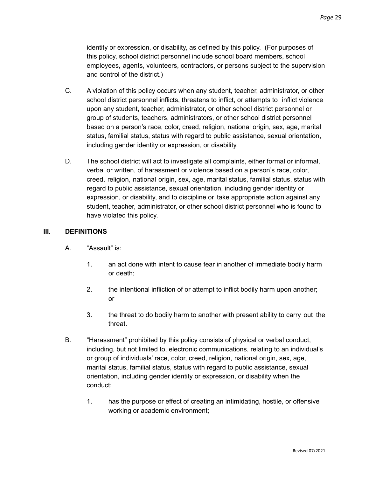identity or expression, or disability, as defined by this policy. (For purposes of this policy, school district personnel include school board members, school employees, agents, volunteers, contractors, or persons subject to the supervision and control of the district.)

- C. A violation of this policy occurs when any student, teacher, administrator, or other school district personnel inflicts, threatens to inflict, or attempts to inflict violence upon any student, teacher, administrator, or other school district personnel or group of students, teachers, administrators, or other school district personnel based on a person's race, color, creed, religion, national origin, sex, age, marital status, familial status, status with regard to public assistance, sexual orientation, including gender identity or expression, or disability.
- D. The school district will act to investigate all complaints, either formal or informal, verbal or written, of harassment or violence based on a person's race, color, creed, religion, national origin, sex, age, marital status, familial status, status with regard to public assistance, sexual orientation, including gender identity or expression, or disability, and to discipline or take appropriate action against any student, teacher, administrator, or other school district personnel who is found to have violated this policy.

#### **III. DEFINITIONS**

- A. "Assault" is:
	- 1. an act done with intent to cause fear in another of immediate bodily harm or death;
	- 2. the intentional infliction of or attempt to inflict bodily harm upon another; or
	- 3. the threat to do bodily harm to another with present ability to carry out the threat.
- B. "Harassment" prohibited by this policy consists of physical or verbal conduct, including, but not limited to, electronic communications, relating to an individual's or group of individuals' race, color, creed, religion, national origin, sex, age, marital status, familial status, status with regard to public assistance, sexual orientation, including gender identity or expression, or disability when the conduct:
	- 1. has the purpose or effect of creating an intimidating, hostile, or offensive working or academic environment;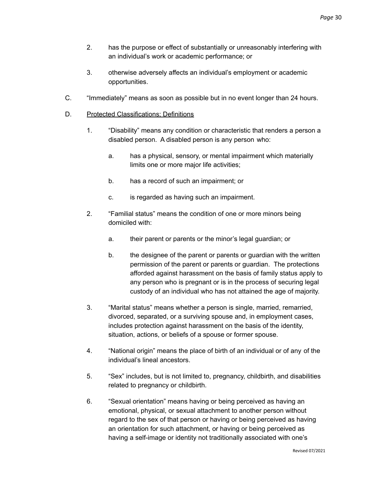- 2. has the purpose or effect of substantially or unreasonably interfering with an individual's work or academic performance; or
- 3. otherwise adversely affects an individual's employment or academic opportunities.
- C. "Immediately" means as soon as possible but in no event longer than 24 hours.
- D. Protected Classifications; Definitions
	- 1. "Disability" means any condition or characteristic that renders a person a disabled person. A disabled person is any person who:
		- a. has a physical, sensory, or mental impairment which materially limits one or more major life activities;
		- b. has a record of such an impairment; or
		- c. is regarded as having such an impairment.
	- 2. "Familial status" means the condition of one or more minors being domiciled with:
		- a. their parent or parents or the minor's legal guardian; or
		- b. the designee of the parent or parents or guardian with the written permission of the parent or parents or guardian. The protections afforded against harassment on the basis of family status apply to any person who is pregnant or is in the process of securing legal custody of an individual who has not attained the age of majority.
	- 3. "Marital status" means whether a person is single, married, remarried, divorced, separated, or a surviving spouse and, in employment cases, includes protection against harassment on the basis of the identity, situation, actions, or beliefs of a spouse or former spouse.
	- 4. "National origin" means the place of birth of an individual or of any of the individual's lineal ancestors.
	- 5. "Sex" includes, but is not limited to, pregnancy, childbirth, and disabilities related to pregnancy or childbirth.
	- 6. "Sexual orientation" means having or being perceived as having an emotional, physical, or sexual attachment to another person without regard to the sex of that person or having or being perceived as having an orientation for such attachment, or having or being perceived as having a self-image or identity not traditionally associated with one's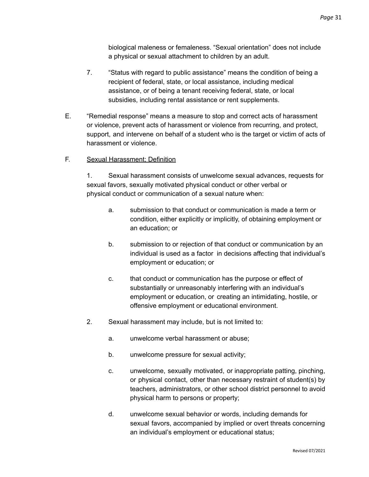biological maleness or femaleness. "Sexual orientation" does not include a physical or sexual attachment to children by an adult.

- 7. "Status with regard to public assistance" means the condition of being a recipient of federal, state, or local assistance, including medical assistance, or of being a tenant receiving federal, state, or local subsidies, including rental assistance or rent supplements.
- E. "Remedial response" means a measure to stop and correct acts of harassment or violence, prevent acts of harassment or violence from recurring, and protect, support, and intervene on behalf of a student who is the target or victim of acts of harassment or violence.
- F. Sexual Harassment; Definition

1. Sexual harassment consists of unwelcome sexual advances, requests for sexual favors, sexually motivated physical conduct or other verbal or physical conduct or communication of a sexual nature when:

- a. submission to that conduct or communication is made a term or condition, either explicitly or implicitly, of obtaining employment or an education; or
- b. submission to or rejection of that conduct or communication by an individual is used as a factor in decisions affecting that individual's employment or education; or
- c. that conduct or communication has the purpose or effect of substantially or unreasonably interfering with an individual's employment or education, or creating an intimidating, hostile, or offensive employment or educational environment.
- 2. Sexual harassment may include, but is not limited to:
	- a. unwelcome verbal harassment or abuse;
	- b. unwelcome pressure for sexual activity;
	- c. unwelcome, sexually motivated, or inappropriate patting, pinching, or physical contact, other than necessary restraint of student(s) by teachers, administrators, or other school district personnel to avoid physical harm to persons or property;
	- d. unwelcome sexual behavior or words, including demands for sexual favors, accompanied by implied or overt threats concerning an individual's employment or educational status;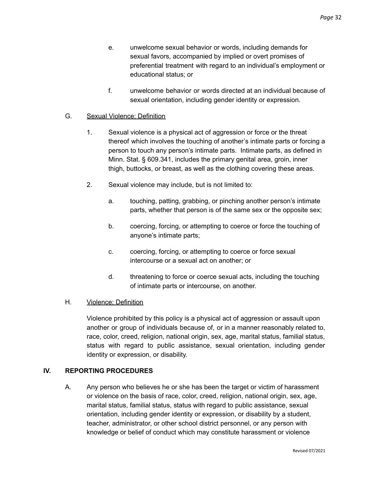- e. unwelcome sexual behavior or words, including demands for sexual favors, accompanied by implied or overt promises of preferential treatment with regard to an individual's employment or educational status; or
- f. unwelcome behavior or words directed at an individual because of sexual orientation, including gender identity or expression.

#### G. Sexual Violence; Definition

- 1. Sexual violence is a physical act of aggression or force or the threat thereof which involves the touching of another's intimate parts or forcing a person to touch any person's intimate parts. Intimate parts, as defined in Minn. Stat. § 609.341, includes the primary genital area, groin, inner thigh, buttocks, or breast, as well as the clothing covering these areas.
- 2. Sexual violence may include, but is not limited to:
	- a. touching, patting, grabbing, or pinching another person's intimate parts, whether that person is of the same sex or the opposite sex;
	- b. coercing, forcing, or attempting to coerce or force the touching of anyone's intimate parts;
	- c. coercing, forcing, or attempting to coerce or force sexual intercourse or a sexual act on another; or
	- d. threatening to force or coerce sexual acts, including the touching of intimate parts or intercourse, on another.

#### H. Violence; Definition

Violence prohibited by this policy is a physical act of aggression or assault upon another or group of individuals because of, or in a manner reasonably related to, race, color, creed, religion, national origin, sex, age, marital status, familial status, status with regard to public assistance, sexual orientation, including gender identity or expression, or disability.

#### **IV. REPORTING PROCEDURES**

A. Any person who believes he or she has been the target or victim of harassment or violence on the basis of race, color, creed, religion, national origin, sex, age, marital status, familial status, status with regard to public assistance, sexual orientation, including gender identity or expression, or disability by a student, teacher, administrator, or other school district personnel, or any person with knowledge or belief of conduct which may constitute harassment or violence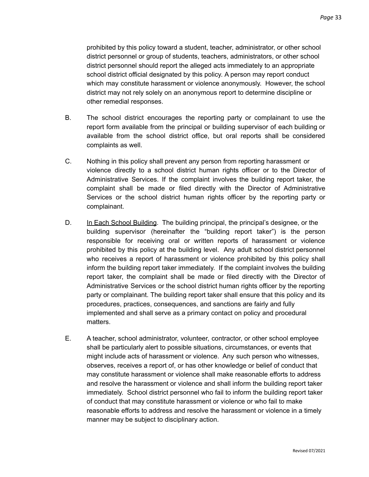prohibited by this policy toward a student, teacher, administrator, or other school district personnel or group of students, teachers, administrators, or other school district personnel should report the alleged acts immediately to an appropriate school district official designated by this policy. A person may report conduct which may constitute harassment or violence anonymously. However, the school district may not rely solely on an anonymous report to determine discipline or other remedial responses.

- B. The school district encourages the reporting party or complainant to use the report form available from the principal or building supervisor of each building or available from the school district office, but oral reports shall be considered complaints as well.
- C. Nothing in this policy shall prevent any person from reporting harassment or violence directly to a school district human rights officer or to the Director of Administrative Services. If the complaint involves the building report taker, the complaint shall be made or filed directly with the Director of Administrative Services or the school district human rights officer by the reporting party or complainant.
- D. In Each School Building. The building principal, the principal's designee, or the building supervisor (hereinafter the "building report taker") is the person responsible for receiving oral or written reports of harassment or violence prohibited by this policy at the building level. Any adult school district personnel who receives a report of harassment or violence prohibited by this policy shall inform the building report taker immediately. If the complaint involves the building report taker, the complaint shall be made or filed directly with the Director of Administrative Services or the school district human rights officer by the reporting party or complainant. The building report taker shall ensure that this policy and its procedures, practices, consequences, and sanctions are fairly and fully implemented and shall serve as a primary contact on policy and procedural matters.
- E. A teacher, school administrator, volunteer, contractor, or other school employee shall be particularly alert to possible situations, circumstances, or events that might include acts of harassment or violence. Any such person who witnesses, observes, receives a report of, or has other knowledge or belief of conduct that may constitute harassment or violence shall make reasonable efforts to address and resolve the harassment or violence and shall inform the building report taker immediately. School district personnel who fail to inform the building report taker of conduct that may constitute harassment or violence or who fail to make reasonable efforts to address and resolve the harassment or violence in a timely manner may be subject to disciplinary action.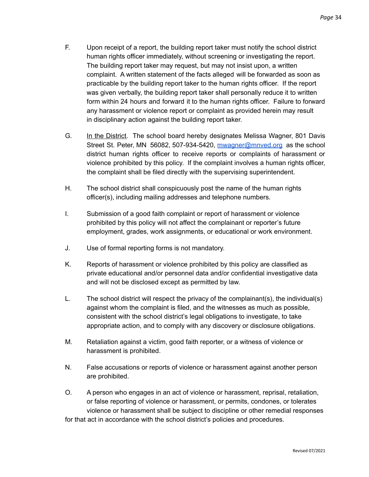- F. Upon receipt of a report, the building report taker must notify the school district human rights officer immediately, without screening or investigating the report. The building report taker may request, but may not insist upon, a written complaint. A written statement of the facts alleged will be forwarded as soon as practicable by the building report taker to the human rights officer. If the report was given verbally, the building report taker shall personally reduce it to written form within 24 hours and forward it to the human rights officer. Failure to forward any harassment or violence report or complaint as provided herein may result in disciplinary action against the building report taker.
- G. **In the District.** The school board hereby designates Melissa Wagner, 801 Davis Street St. Peter, MN 56082, 507-934-5420, [mwagner@mnved.org](mailto:mwagner@mnved.org) as the school district human rights officer to receive reports or complaints of harassment or violence prohibited by this policy. If the complaint involves a human rights officer, the complaint shall be filed directly with the supervising superintendent.
- H. The school district shall conspicuously post the name of the human rights officer(s), including mailing addresses and telephone numbers.
- I. Submission of a good faith complaint or report of harassment or violence prohibited by this policy will not affect the complainant or reporter's future employment, grades, work assignments, or educational or work environment.
- J. Use of formal reporting forms is not mandatory.
- K. Reports of harassment or violence prohibited by this policy are classified as private educational and/or personnel data and/or confidential investigative data and will not be disclosed except as permitted by law.
- L. The school district will respect the privacy of the complainant(s), the individual(s) against whom the complaint is filed, and the witnesses as much as possible, consistent with the school district's legal obligations to investigate, to take appropriate action, and to comply with any discovery or disclosure obligations.
- M. Retaliation against a victim, good faith reporter, or a witness of violence or harassment is prohibited.
- N. False accusations or reports of violence or harassment against another person are prohibited.
- O. A person who engages in an act of violence or harassment, reprisal, retaliation, or false reporting of violence or harassment, or permits, condones, or tolerates violence or harassment shall be subject to discipline or other remedial responses for that act in accordance with the school district's policies and procedures.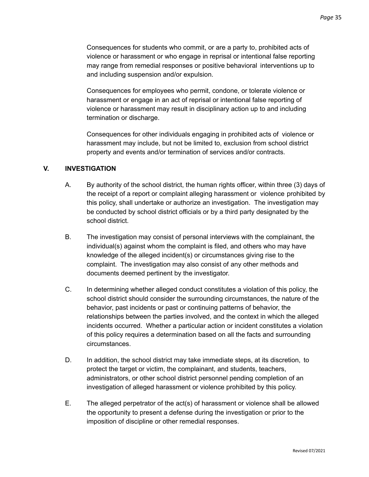Consequences for students who commit, or are a party to, prohibited acts of violence or harassment or who engage in reprisal or intentional false reporting may range from remedial responses or positive behavioral interventions up to and including suspension and/or expulsion.

Consequences for employees who permit, condone, or tolerate violence or harassment or engage in an act of reprisal or intentional false reporting of violence or harassment may result in disciplinary action up to and including termination or discharge.

Consequences for other individuals engaging in prohibited acts of violence or harassment may include, but not be limited to, exclusion from school district property and events and/or termination of services and/or contracts.

#### **V. INVESTIGATION**

- A. By authority of the school district, the human rights officer, within three (3) days of the receipt of a report or complaint alleging harassment or violence prohibited by this policy, shall undertake or authorize an investigation. The investigation may be conducted by school district officials or by a third party designated by the school district.
- B. The investigation may consist of personal interviews with the complainant, the individual(s) against whom the complaint is filed, and others who may have knowledge of the alleged incident(s) or circumstances giving rise to the complaint. The investigation may also consist of any other methods and documents deemed pertinent by the investigator.
- C. In determining whether alleged conduct constitutes a violation of this policy, the school district should consider the surrounding circumstances, the nature of the behavior, past incidents or past or continuing patterns of behavior, the relationships between the parties involved, and the context in which the alleged incidents occurred. Whether a particular action or incident constitutes a violation of this policy requires a determination based on all the facts and surrounding circumstances.
- D. In addition, the school district may take immediate steps, at its discretion, to protect the target or victim, the complainant, and students, teachers, administrators, or other school district personnel pending completion of an investigation of alleged harassment or violence prohibited by this policy.
- E. The alleged perpetrator of the act(s) of harassment or violence shall be allowed the opportunity to present a defense during the investigation or prior to the imposition of discipline or other remedial responses.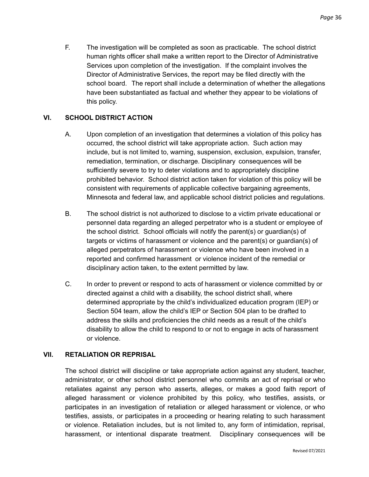F. The investigation will be completed as soon as practicable. The school district human rights officer shall make a written report to the Director of Administrative Services upon completion of the investigation. If the complaint involves the Director of Administrative Services, the report may be filed directly with the school board. The report shall include a determination of whether the allegations have been substantiated as factual and whether they appear to be violations of this policy.

#### **VI. SCHOOL DISTRICT ACTION**

- A. Upon completion of an investigation that determines a violation of this policy has occurred, the school district will take appropriate action. Such action may include, but is not limited to, warning, suspension, exclusion, expulsion, transfer, remediation, termination, or discharge. Disciplinary consequences will be sufficiently severe to try to deter violations and to appropriately discipline prohibited behavior. School district action taken for violation of this policy will be consistent with requirements of applicable collective bargaining agreements, Minnesota and federal law, and applicable school district policies and regulations.
- B. The school district is not authorized to disclose to a victim private educational or personnel data regarding an alleged perpetrator who is a student or employee of the school district. School officials will notify the parent(s) or guardian(s) of targets or victims of harassment or violence and the parent(s) or guardian(s) of alleged perpetrators of harassment or violence who have been involved in a reported and confirmed harassment or violence incident of the remedial or disciplinary action taken, to the extent permitted by law.
- C. In order to prevent or respond to acts of harassment or violence committed by or directed against a child with a disability, the school district shall, where determined appropriate by the child's individualized education program (IEP) or Section 504 team, allow the child's IEP or Section 504 plan to be drafted to address the skills and proficiencies the child needs as a result of the child's disability to allow the child to respond to or not to engage in acts of harassment or violence.

#### **VII. RETALIATION OR REPRISAL**

The school district will discipline or take appropriate action against any student, teacher, administrator, or other school district personnel who commits an act of reprisal or who retaliates against any person who asserts, alleges, or makes a good faith report of alleged harassment or violence prohibited by this policy, who testifies, assists, or participates in an investigation of retaliation or alleged harassment or violence, or who testifies, assists, or participates in a proceeding or hearing relating to such harassment or violence. Retaliation includes, but is not limited to, any form of intimidation, reprisal, harassment, or intentional disparate treatment. Disciplinary consequences will be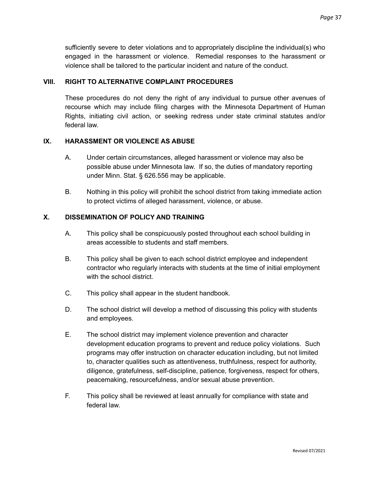sufficiently severe to deter violations and to appropriately discipline the individual(s) who engaged in the harassment or violence. Remedial responses to the harassment or violence shall be tailored to the particular incident and nature of the conduct.

#### **VIII. RIGHT TO ALTERNATIVE COMPLAINT PROCEDURES**

These procedures do not deny the right of any individual to pursue other avenues of recourse which may include filing charges with the Minnesota Department of Human Rights, initiating civil action, or seeking redress under state criminal statutes and/or federal law.

#### **IX. HARASSMENT OR VIOLENCE AS ABUSE**

- A. Under certain circumstances, alleged harassment or violence may also be possible abuse under Minnesota law. If so, the duties of mandatory reporting under Minn. Stat. § 626.556 may be applicable.
- B. Nothing in this policy will prohibit the school district from taking immediate action to protect victims of alleged harassment, violence, or abuse.

#### **X. DISSEMINATION OF POLICY AND TRAINING**

- A. This policy shall be conspicuously posted throughout each school building in areas accessible to students and staff members.
- B. This policy shall be given to each school district employee and independent contractor who regularly interacts with students at the time of initial employment with the school district.
- C. This policy shall appear in the student handbook.
- D. The school district will develop a method of discussing this policy with students and employees.
- E. The school district may implement violence prevention and character development education programs to prevent and reduce policy violations. Such programs may offer instruction on character education including, but not limited to, character qualities such as attentiveness, truthfulness, respect for authority, diligence, gratefulness, self-discipline, patience, forgiveness, respect for others, peacemaking, resourcefulness, and/or sexual abuse prevention.
- F. This policy shall be reviewed at least annually for compliance with state and federal law.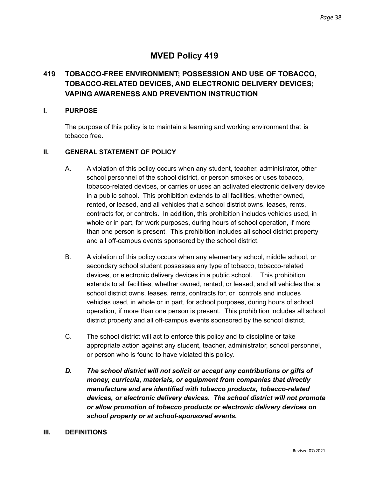# **MVED Policy 419**

# **419 TOBACCO-FREE ENVIRONMENT; POSSESSION AND USE OF TOBACCO, TOBACCO-RELATED DEVICES, AND ELECTRONIC DELIVERY DEVICES; VAPING AWARENESS AND PREVENTION INSTRUCTION**

#### **I. PURPOSE**

The purpose of this policy is to maintain a learning and working environment that is tobacco free.

#### **II. GENERAL STATEMENT OF POLICY**

- A. A violation of this policy occurs when any student, teacher, administrator, other school personnel of the school district, or person smokes or uses tobacco, tobacco-related devices, or carries or uses an activated electronic delivery device in a public school. This prohibition extends to all facilities, whether owned, rented, or leased, and all vehicles that a school district owns, leases, rents, contracts for, or controls. In addition, this prohibition includes vehicles used, in whole or in part, for work purposes, during hours of school operation, if more than one person is present. This prohibition includes all school district property and all off-campus events sponsored by the school district.
- B. A violation of this policy occurs when any elementary school, middle school, or secondary school student possesses any type of tobacco, tobacco-related devices, or electronic delivery devices in a public school. This prohibition extends to all facilities, whether owned, rented, or leased, and all vehicles that a school district owns, leases, rents, contracts for, or controls and includes vehicles used, in whole or in part, for school purposes, during hours of school operation, if more than one person is present. This prohibition includes all school district property and all off-campus events sponsored by the school district.
- C. The school district will act to enforce this policy and to discipline or take appropriate action against any student, teacher, administrator, school personnel, or person who is found to have violated this policy.
- *D. The school district will not solicit or accept any contributions or gifts of money, curricula, materials, or equipment from companies that directly manufacture and are identified with tobacco products, tobacco-related devices, or electronic delivery devices. The school district will not promote or allow promotion of tobacco products or electronic delivery devices on school property or at school-sponsored events.*

#### **III. DEFINITIONS**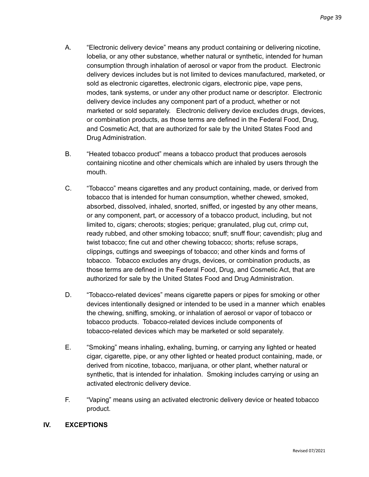- A. "Electronic delivery device" means any product containing or delivering nicotine, lobelia, or any other substance, whether natural or synthetic, intended for human consumption through inhalation of aerosol or vapor from the product. Electronic delivery devices includes but is not limited to devices manufactured, marketed, or sold as electronic cigarettes, electronic cigars, electronic pipe, vape pens, modes, tank systems, or under any other product name or descriptor. Electronic delivery device includes any component part of a product, whether or not marketed or sold separately. Electronic delivery device excludes drugs, devices, or combination products, as those terms are defined in the Federal Food, Drug, and Cosmetic Act, that are authorized for sale by the United States Food and Drug Administration.
- B. "Heated tobacco product" means a tobacco product that produces aerosols containing nicotine and other chemicals which are inhaled by users through the mouth.
- C. "Tobacco" means cigarettes and any product containing, made, or derived from tobacco that is intended for human consumption, whether chewed, smoked, absorbed, dissolved, inhaled, snorted, sniffed, or ingested by any other means, or any component, part, or accessory of a tobacco product, including, but not limited to, cigars; cheroots; stogies; perique; granulated, plug cut, crimp cut, ready rubbed, and other smoking tobacco; snuff; snuff flour; cavendish; plug and twist tobacco; fine cut and other chewing tobacco; shorts; refuse scraps, clippings, cuttings and sweepings of tobacco; and other kinds and forms of tobacco. Tobacco excludes any drugs, devices, or combination products, as those terms are defined in the Federal Food, Drug, and Cosmetic Act, that are authorized for sale by the United States Food and Drug Administration.
- D. "Tobacco-related devices" means cigarette papers or pipes for smoking or other devices intentionally designed or intended to be used in a manner which enables the chewing, sniffing, smoking, or inhalation of aerosol or vapor of tobacco or tobacco products. Tobacco-related devices include components of tobacco-related devices which may be marketed or sold separately.
- E. "Smoking" means inhaling, exhaling, burning, or carrying any lighted or heated cigar, cigarette, pipe, or any other lighted or heated product containing, made, or derived from nicotine, tobacco, marijuana, or other plant, whether natural or synthetic, that is intended for inhalation. Smoking includes carrying or using an activated electronic delivery device.
- F. "Vaping" means using an activated electronic delivery device or heated tobacco product.

#### **IV. EXCEPTIONS**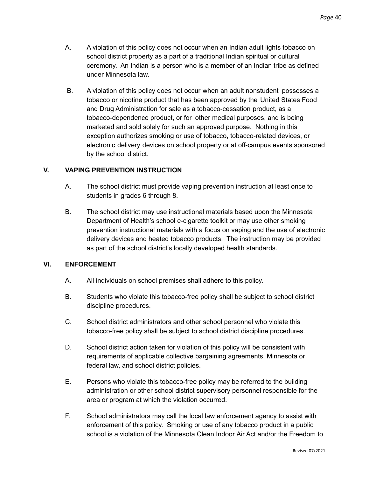- A. A violation of this policy does not occur when an Indian adult lights tobacco on school district property as a part of a traditional Indian spiritual or cultural ceremony. An Indian is a person who is a member of an Indian tribe as defined under Minnesota law.
- B. A violation of this policy does not occur when an adult nonstudent possesses a tobacco or nicotine product that has been approved by the United States Food and Drug Administration for sale as a tobacco-cessation product, as a tobacco-dependence product, or for other medical purposes, and is being marketed and sold solely for such an approved purpose. Nothing in this exception authorizes smoking or use of tobacco, tobacco-related devices, or electronic delivery devices on school property or at off-campus events sponsored by the school district.

#### **V. VAPING PREVENTION INSTRUCTION**

- A. The school district must provide vaping prevention instruction at least once to students in grades 6 through 8.
- B. The school district may use instructional materials based upon the Minnesota Department of Health's school e-cigarette toolkit or may use other smoking prevention instructional materials with a focus on vaping and the use of electronic delivery devices and heated tobacco products. The instruction may be provided as part of the school district's locally developed health standards.

#### **VI. ENFORCEMENT**

- A. All individuals on school premises shall adhere to this policy.
- B. Students who violate this tobacco-free policy shall be subject to school district discipline procedures.
- C. School district administrators and other school personnel who violate this tobacco-free policy shall be subject to school district discipline procedures.
- D. School district action taken for violation of this policy will be consistent with requirements of applicable collective bargaining agreements, Minnesota or federal law, and school district policies.
- E. Persons who violate this tobacco-free policy may be referred to the building administration or other school district supervisory personnel responsible for the area or program at which the violation occurred.
- F. School administrators may call the local law enforcement agency to assist with enforcement of this policy. Smoking or use of any tobacco product in a public school is a violation of the Minnesota Clean Indoor Air Act and/or the Freedom to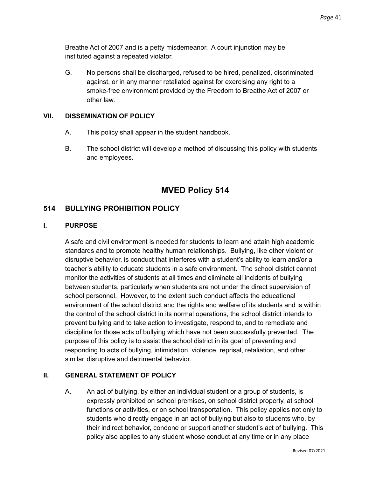Breathe Act of 2007 and is a petty misdemeanor. A court injunction may be instituted against a repeated violator.

G. No persons shall be discharged, refused to be hired, penalized, discriminated against, or in any manner retaliated against for exercising any right to a smoke-free environment provided by the Freedom to Breathe Act of 2007 or other law.

#### **VII. DISSEMINATION OF POLICY**

- A. This policy shall appear in the student handbook.
- B. The school district will develop a method of discussing this policy with students and employees.

# **MVED Policy 514**

#### **514 BULLYING PROHIBITION POLICY**

#### **I. PURPOSE**

A safe and civil environment is needed for students to learn and attain high academic standards and to promote healthy human relationships. Bullying, like other violent or disruptive behavior, is conduct that interferes with a student's ability to learn and/or a teacher's ability to educate students in a safe environment. The school district cannot monitor the activities of students at all times and eliminate all incidents of bullying between students, particularly when students are not under the direct supervision of school personnel. However, to the extent such conduct affects the educational environment of the school district and the rights and welfare of its students and is within the control of the school district in its normal operations, the school district intends to prevent bullying and to take action to investigate, respond to, and to remediate and discipline for those acts of bullying which have not been successfully prevented. The purpose of this policy is to assist the school district in its goal of preventing and responding to acts of bullying, intimidation, violence, reprisal, retaliation, and other similar disruptive and detrimental behavior.

#### **II. GENERAL STATEMENT OF POLICY**

A. An act of bullying, by either an individual student or a group of students, is expressly prohibited on school premises, on school district property, at school functions or activities, or on school transportation. This policy applies not only to students who directly engage in an act of bullying but also to students who, by their indirect behavior, condone or support another student's act of bullying. This policy also applies to any student whose conduct at any time or in any place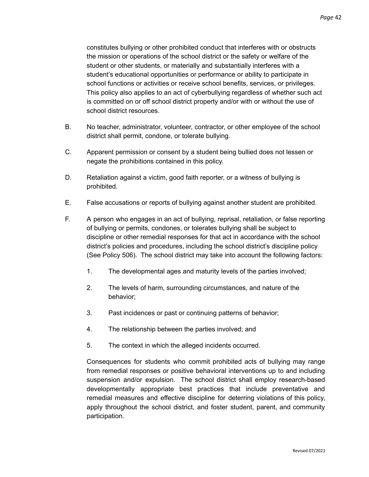constitutes bullying or other prohibited conduct that interferes with or obstructs the mission or operations of the school district or the safety or welfare of the student or other students, or materially and substantially interferes with a student's educational opportunities or performance or ability to participate in school functions or activities or receive school benefits, services, or privileges. This policy also applies to an act of cyberbullying regardless of whether such act is committed on or off school district property and/or with or without the use of school district resources.

- B. No teacher, administrator, volunteer, contractor, or other employee of the school district shall permit, condone, or tolerate bullying.
- C. Apparent permission or consent by a student being bullied does not lessen or negate the prohibitions contained in this policy.
- D. Retaliation against a victim, good faith reporter, or a witness of bullying is prohibited.
- E. False accusations or reports of bullying against another student are prohibited.
- F. A person who engages in an act of bullying, reprisal, retaliation, or false reporting of bullying or permits, condones, or tolerates bullying shall be subject to discipline or other remedial responses for that act in accordance with the school district's policies and procedures, including the school district's discipline policy (See Policy 506). The school district may take into account the following factors:
	- 1. The developmental ages and maturity levels of the parties involved;
	- 2. The levels of harm, surrounding circumstances, and nature of the behavior;
	- 3. Past incidences or past or continuing patterns of behavior;
	- 4. The relationship between the parties involved; and
	- 5. The context in which the alleged incidents occurred.

Consequences for students who commit prohibited acts of bullying may range from remedial responses or positive behavioral interventions up to and including suspension and/or expulsion. The school district shall employ research-based developmentally appropriate best practices that include preventative and remedial measures and effective discipline for deterring violations of this policy, apply throughout the school district, and foster student, parent, and community participation.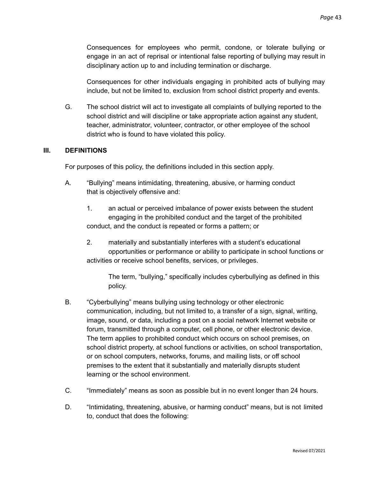Consequences for employees who permit, condone, or tolerate bullying or engage in an act of reprisal or intentional false reporting of bullying may result in disciplinary action up to and including termination or discharge.

Consequences for other individuals engaging in prohibited acts of bullying may include, but not be limited to, exclusion from school district property and events.

G. The school district will act to investigate all complaints of bullying reported to the school district and will discipline or take appropriate action against any student, teacher, administrator, volunteer, contractor, or other employee of the school district who is found to have violated this policy.

#### **III. DEFINITIONS**

For purposes of this policy, the definitions included in this section apply.

- A. "Bullying" means intimidating, threatening, abusive, or harming conduct that is objectively offensive and:
	- 1. an actual or perceived imbalance of power exists between the student engaging in the prohibited conduct and the target of the prohibited conduct, and the conduct is repeated or forms a pattern; or
	- 2. materially and substantially interferes with a student's educational opportunities or performance or ability to participate in school functions or activities or receive school benefits, services, or privileges.

The term, "bullying," specifically includes cyberbullying as defined in this policy.

- B. "Cyberbullying" means bullying using technology or other electronic communication, including, but not limited to, a transfer of a sign, signal, writing, image, sound, or data, including a post on a social network Internet website or forum, transmitted through a computer, cell phone, or other electronic device. The term applies to prohibited conduct which occurs on school premises, on school district property, at school functions or activities, on school transportation, or on school computers, networks, forums, and mailing lists, or off school premises to the extent that it substantially and materially disrupts student learning or the school environment.
- C. "Immediately" means as soon as possible but in no event longer than 24 hours.
- D. "Intimidating, threatening, abusive, or harming conduct" means, but is not limited to, conduct that does the following: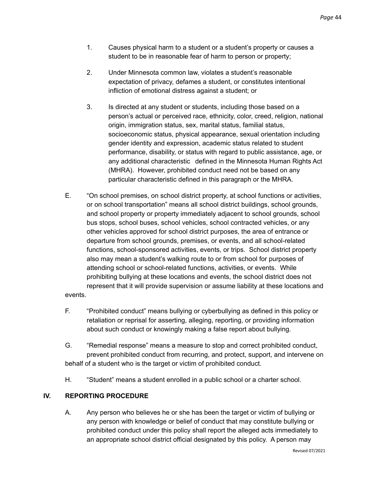- 1. Causes physical harm to a student or a student's property or causes a student to be in reasonable fear of harm to person or property;
- 2. Under Minnesota common law, violates a student's reasonable expectation of privacy, defames a student, or constitutes intentional infliction of emotional distress against a student; or
- 3. Is directed at any student or students, including those based on a person's actual or perceived race, ethnicity, color, creed, religion, national origin, immigration status, sex, marital status, familial status, socioeconomic status, physical appearance, sexual orientation including gender identity and expression, academic status related to student performance, disability, or status with regard to public assistance, age, or any additional characteristic defined in the Minnesota Human Rights Act (MHRA). However, prohibited conduct need not be based on any particular characteristic defined in this paragraph or the MHRA.
- E. "On school premises, on school district property, at school functions or activities, or on school transportation" means all school district buildings, school grounds, and school property or property immediately adjacent to school grounds, school bus stops, school buses, school vehicles, school contracted vehicles, or any other vehicles approved for school district purposes, the area of entrance or departure from school grounds, premises, or events, and all school-related functions, school-sponsored activities, events, or trips. School district property also may mean a student's walking route to or from school for purposes of attending school or school-related functions, activities, or events. While prohibiting bullying at these locations and events, the school district does not represent that it will provide supervision or assume liability at these locations and events.
- F. "Prohibited conduct" means bullying or cyberbullying as defined in this policy or retaliation or reprisal for asserting, alleging, reporting, or providing information about such conduct or knowingly making a false report about bullying.
- G. "Remedial response" means a measure to stop and correct prohibited conduct, prevent prohibited conduct from recurring, and protect, support, and intervene on behalf of a student who is the target or victim of prohibited conduct.
- H. "Student" means a student enrolled in a public school or a charter school.

#### **IV. REPORTING PROCEDURE**

A. Any person who believes he or she has been the target or victim of bullying or any person with knowledge or belief of conduct that may constitute bullying or prohibited conduct under this policy shall report the alleged acts immediately to an appropriate school district official designated by this policy. A person may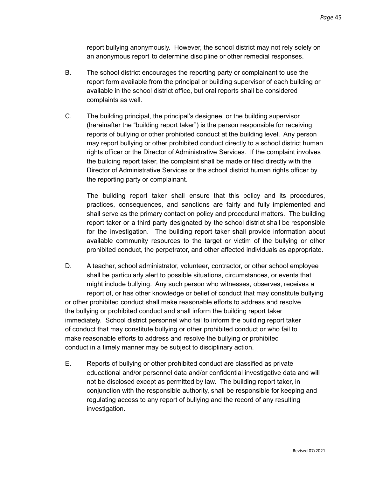report bullying anonymously. However, the school district may not rely solely on an anonymous report to determine discipline or other remedial responses.

- B. The school district encourages the reporting party or complainant to use the report form available from the principal or building supervisor of each building or available in the school district office, but oral reports shall be considered complaints as well.
- C. The building principal, the principal's designee, or the building supervisor (hereinafter the "building report taker") is the person responsible for receiving reports of bullying or other prohibited conduct at the building level. Any person may report bullying or other prohibited conduct directly to a school district human rights officer or the Director of Administrative Services. If the complaint involves the building report taker, the complaint shall be made or filed directly with the Director of Administrative Services or the school district human rights officer by the reporting party or complainant.

The building report taker shall ensure that this policy and its procedures, practices, consequences, and sanctions are fairly and fully implemented and shall serve as the primary contact on policy and procedural matters. The building report taker or a third party designated by the school district shall be responsible for the investigation. The building report taker shall provide information about available community resources to the target or victim of the bullying or other prohibited conduct, the perpetrator, and other affected individuals as appropriate.

- D. A teacher, school administrator, volunteer, contractor, or other school employee shall be particularly alert to possible situations, circumstances, or events that might include bullying. Any such person who witnesses, observes, receives a report of, or has other knowledge or belief of conduct that may constitute bullying or other prohibited conduct shall make reasonable efforts to address and resolve the bullying or prohibited conduct and shall inform the building report taker immediately. School district personnel who fail to inform the building report taker of conduct that may constitute bullying or other prohibited conduct or who fail to make reasonable efforts to address and resolve the bullying or prohibited conduct in a timely manner may be subject to disciplinary action.
- E. Reports of bullying or other prohibited conduct are classified as private educational and/or personnel data and/or confidential investigative data and will not be disclosed except as permitted by law. The building report taker, in conjunction with the responsible authority, shall be responsible for keeping and regulating access to any report of bullying and the record of any resulting investigation.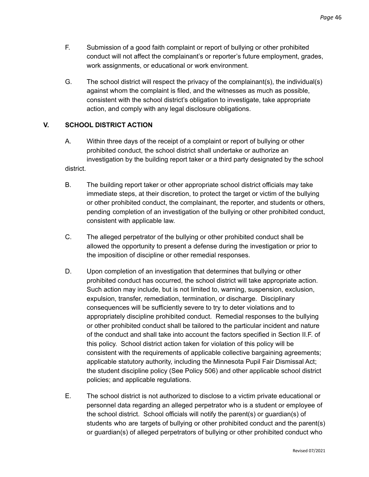- F. Submission of a good faith complaint or report of bullying or other prohibited conduct will not affect the complainant's or reporter's future employment, grades, work assignments, or educational or work environment.
- G. The school district will respect the privacy of the complainant(s), the individual(s) against whom the complaint is filed, and the witnesses as much as possible, consistent with the school district's obligation to investigate, take appropriate action, and comply with any legal disclosure obligations.

#### **V. SCHOOL DISTRICT ACTION**

- A. Within three days of the receipt of a complaint or report of bullying or other prohibited conduct, the school district shall undertake or authorize an investigation by the building report taker or a third party designated by the school district.
- B. The building report taker or other appropriate school district officials may take immediate steps, at their discretion, to protect the target or victim of the bullying or other prohibited conduct, the complainant, the reporter, and students or others, pending completion of an investigation of the bullying or other prohibited conduct, consistent with applicable law.
- C. The alleged perpetrator of the bullying or other prohibited conduct shall be allowed the opportunity to present a defense during the investigation or prior to the imposition of discipline or other remedial responses.
- D. Upon completion of an investigation that determines that bullying or other prohibited conduct has occurred, the school district will take appropriate action. Such action may include, but is not limited to, warning, suspension, exclusion, expulsion, transfer, remediation, termination, or discharge. Disciplinary consequences will be sufficiently severe to try to deter violations and to appropriately discipline prohibited conduct. Remedial responses to the bullying or other prohibited conduct shall be tailored to the particular incident and nature of the conduct and shall take into account the factors specified in Section II.F. of this policy. School district action taken for violation of this policy will be consistent with the requirements of applicable collective bargaining agreements; applicable statutory authority, including the Minnesota Pupil Fair Dismissal Act; the student discipline policy (See Policy 506) and other applicable school district policies; and applicable regulations.
- E. The school district is not authorized to disclose to a victim private educational or personnel data regarding an alleged perpetrator who is a student or employee of the school district. School officials will notify the parent(s) or guardian(s) of students who are targets of bullying or other prohibited conduct and the parent(s) or guardian(s) of alleged perpetrators of bullying or other prohibited conduct who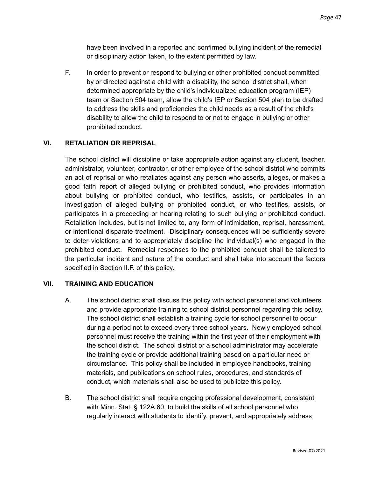have been involved in a reported and confirmed bullying incident of the remedial or disciplinary action taken, to the extent permitted by law.

F. In order to prevent or respond to bullying or other prohibited conduct committed by or directed against a child with a disability, the school district shall, when determined appropriate by the child's individualized education program (IEP) team or Section 504 team, allow the child's IEP or Section 504 plan to be drafted to address the skills and proficiencies the child needs as a result of the child's disability to allow the child to respond to or not to engage in bullying or other prohibited conduct.

#### **VI. RETALIATION OR REPRISAL**

The school district will discipline or take appropriate action against any student, teacher, administrator, volunteer, contractor, or other employee of the school district who commits an act of reprisal or who retaliates against any person who asserts, alleges, or makes a good faith report of alleged bullying or prohibited conduct, who provides information about bullying or prohibited conduct, who testifies, assists, or participates in an investigation of alleged bullying or prohibited conduct, or who testifies, assists, or participates in a proceeding or hearing relating to such bullying or prohibited conduct. Retaliation includes, but is not limited to, any form of intimidation, reprisal, harassment, or intentional disparate treatment. Disciplinary consequences will be sufficiently severe to deter violations and to appropriately discipline the individual(s) who engaged in the prohibited conduct. Remedial responses to the prohibited conduct shall be tailored to the particular incident and nature of the conduct and shall take into account the factors specified in Section II.F. of this policy.

#### **VII. TRAINING AND EDUCATION**

- A. The school district shall discuss this policy with school personnel and volunteers and provide appropriate training to school district personnel regarding this policy. The school district shall establish a training cycle for school personnel to occur during a period not to exceed every three school years. Newly employed school personnel must receive the training within the first year of their employment with the school district. The school district or a school administrator may accelerate the training cycle or provide additional training based on a particular need or circumstance. This policy shall be included in employee handbooks, training materials, and publications on school rules, procedures, and standards of conduct, which materials shall also be used to publicize this policy.
- B. The school district shall require ongoing professional development, consistent with Minn. Stat. § 122A.60, to build the skills of all school personnel who regularly interact with students to identify, prevent, and appropriately address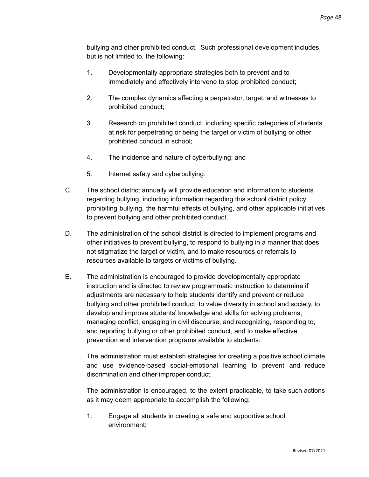bullying and other prohibited conduct. Such professional development includes, but is not limited to, the following:

- 1. Developmentally appropriate strategies both to prevent and to immediately and effectively intervene to stop prohibited conduct;
- 2. The complex dynamics affecting a perpetrator, target, and witnesses to prohibited conduct;
- 3. Research on prohibited conduct, including specific categories of students at risk for perpetrating or being the target or victim of bullying or other prohibited conduct in school;
- 4. The incidence and nature of cyberbullying; and
- 5. Internet safety and cyberbullying.
- C. The school district annually will provide education and information to students regarding bullying, including information regarding this school district policy prohibiting bullying, the harmful effects of bullying, and other applicable initiatives to prevent bullying and other prohibited conduct.
- D. The administration of the school district is directed to implement programs and other initiatives to prevent bullying, to respond to bullying in a manner that does not stigmatize the target or victim, and to make resources or referrals to resources available to targets or victims of bullying.
- E. The administration is encouraged to provide developmentally appropriate instruction and is directed to review programmatic instruction to determine if adjustments are necessary to help students identify and prevent or reduce bullying and other prohibited conduct, to value diversity in school and society, to develop and improve students' knowledge and skills for solving problems, managing conflict, engaging in civil discourse, and recognizing, responding to, and reporting bullying or other prohibited conduct, and to make effective prevention and intervention programs available to students.

The administration must establish strategies for creating a positive school climate and use evidence-based social-emotional learning to prevent and reduce discrimination and other improper conduct.

The administration is encouraged, to the extent practicable, to take such actions as it may deem appropriate to accomplish the following:

1. Engage all students in creating a safe and supportive school environment;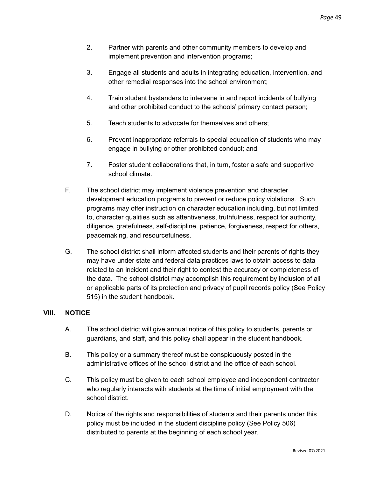- 2. Partner with parents and other community members to develop and implement prevention and intervention programs;
- 3. Engage all students and adults in integrating education, intervention, and other remedial responses into the school environment;
- 4. Train student bystanders to intervene in and report incidents of bullying and other prohibited conduct to the schools' primary contact person;
- 5. Teach students to advocate for themselves and others;
- 6. Prevent inappropriate referrals to special education of students who may engage in bullying or other prohibited conduct; and
- 7. Foster student collaborations that, in turn, foster a safe and supportive school climate.
- F. The school district may implement violence prevention and character development education programs to prevent or reduce policy violations. Such programs may offer instruction on character education including, but not limited to, character qualities such as attentiveness, truthfulness, respect for authority, diligence, gratefulness, self-discipline, patience, forgiveness, respect for others, peacemaking, and resourcefulness.
- G. The school district shall inform affected students and their parents of rights they may have under state and federal data practices laws to obtain access to data related to an incident and their right to contest the accuracy or completeness of the data. The school district may accomplish this requirement by inclusion of all or applicable parts of its protection and privacy of pupil records policy (See Policy 515) in the student handbook.

#### **VIII. NOTICE**

- A. The school district will give annual notice of this policy to students, parents or guardians, and staff, and this policy shall appear in the student handbook.
- B. This policy or a summary thereof must be conspicuously posted in the administrative offices of the school district and the office of each school.
- C. This policy must be given to each school employee and independent contractor who regularly interacts with students at the time of initial employment with the school district.
- D. Notice of the rights and responsibilities of students and their parents under this policy must be included in the student discipline policy (See Policy 506) distributed to parents at the beginning of each school year.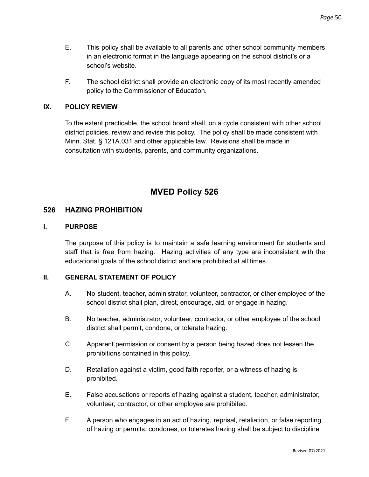- E. This policy shall be available to all parents and other school community members in an electronic format in the language appearing on the school district's or a school's website.
- F. The school district shall provide an electronic copy of its most recently amended policy to the Commissioner of Education.

#### **IX. POLICY REVIEW**

To the extent practicable, the school board shall, on a cycle consistent with other school district policies, review and revise this policy. The policy shall be made consistent with Minn. Stat. § 121A.031 and other applicable law. Revisions shall be made in consultation with students, parents, and community organizations.

# **MVED Policy 526**

#### **526 HAZING PROHIBITION**

#### **I. PURPOSE**

The purpose of this policy is to maintain a safe learning environment for students and staff that is free from hazing. Hazing activities of any type are inconsistent with the educational goals of the school district and are prohibited at all times.

#### **II. GENERAL STATEMENT OF POLICY**

- A. No student, teacher, administrator, volunteer, contractor, or other employee of the school district shall plan, direct, encourage, aid, or engage in hazing.
- B. No teacher, administrator, volunteer, contractor, or other employee of the school district shall permit, condone, or tolerate hazing.
- C. Apparent permission or consent by a person being hazed does not lessen the prohibitions contained in this policy.
- D. Retaliation against a victim, good faith reporter, or a witness of hazing is prohibited.
- E. False accusations or reports of hazing against a student, teacher, administrator, volunteer, contractor, or other employee are prohibited.
- F. A person who engages in an act of hazing, reprisal, retaliation, or false reporting of hazing or permits, condones, or tolerates hazing shall be subject to discipline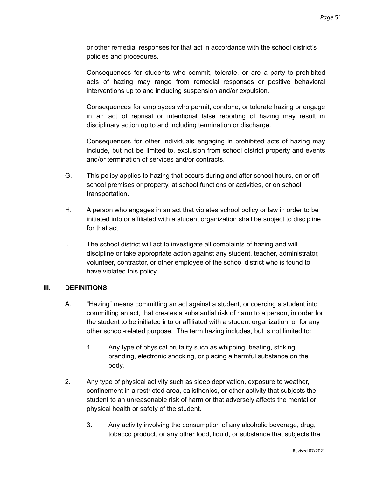or other remedial responses for that act in accordance with the school district's policies and procedures.

Consequences for students who commit, tolerate, or are a party to prohibited acts of hazing may range from remedial responses or positive behavioral interventions up to and including suspension and/or expulsion.

Consequences for employees who permit, condone, or tolerate hazing or engage in an act of reprisal or intentional false reporting of hazing may result in disciplinary action up to and including termination or discharge.

Consequences for other individuals engaging in prohibited acts of hazing may include, but not be limited to, exclusion from school district property and events and/or termination of services and/or contracts.

- G. This policy applies to hazing that occurs during and after school hours, on or off school premises or property, at school functions or activities, or on school transportation.
- H. A person who engages in an act that violates school policy or law in order to be initiated into or affiliated with a student organization shall be subject to discipline for that act.
- I. The school district will act to investigate all complaints of hazing and will discipline or take appropriate action against any student, teacher, administrator, volunteer, contractor, or other employee of the school district who is found to have violated this policy.

#### **III. DEFINITIONS**

- A. "Hazing" means committing an act against a student, or coercing a student into committing an act, that creates a substantial risk of harm to a person, in order for the student to be initiated into or affiliated with a student organization, or for any other school-related purpose. The term hazing includes, but is not limited to:
	- 1. Any type of physical brutality such as whipping, beating, striking, branding, electronic shocking, or placing a harmful substance on the body.
- 2. Any type of physical activity such as sleep deprivation, exposure to weather, confinement in a restricted area, calisthenics, or other activity that subjects the student to an unreasonable risk of harm or that adversely affects the mental or physical health or safety of the student.
	- 3. Any activity involving the consumption of any alcoholic beverage, drug, tobacco product, or any other food, liquid, or substance that subjects the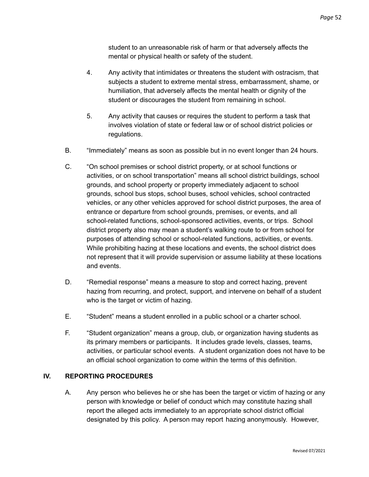student to an unreasonable risk of harm or that adversely affects the mental or physical health or safety of the student.

- 4. Any activity that intimidates or threatens the student with ostracism, that subjects a student to extreme mental stress, embarrassment, shame, or humiliation, that adversely affects the mental health or dignity of the student or discourages the student from remaining in school.
- 5. Any activity that causes or requires the student to perform a task that involves violation of state or federal law or of school district policies or regulations.
- B. "Immediately" means as soon as possible but in no event longer than 24 hours.
- C. "On school premises or school district property, or at school functions or activities, or on school transportation" means all school district buildings, school grounds, and school property or property immediately adjacent to school grounds, school bus stops, school buses, school vehicles, school contracted vehicles, or any other vehicles approved for school district purposes, the area of entrance or departure from school grounds, premises, or events, and all school-related functions, school-sponsored activities, events, or trips. School district property also may mean a student's walking route to or from school for purposes of attending school or school-related functions, activities, or events. While prohibiting hazing at these locations and events, the school district does not represent that it will provide supervision or assume liability at these locations and events.
- D. "Remedial response" means a measure to stop and correct hazing, prevent hazing from recurring, and protect, support, and intervene on behalf of a student who is the target or victim of hazing.
- E. "Student" means a student enrolled in a public school or a charter school.
- F. "Student organization" means a group, club, or organization having students as its primary members or participants. It includes grade levels, classes, teams, activities, or particular school events. A student organization does not have to be an official school organization to come within the terms of this definition.

#### **IV. REPORTING PROCEDURES**

A. Any person who believes he or she has been the target or victim of hazing or any person with knowledge or belief of conduct which may constitute hazing shall report the alleged acts immediately to an appropriate school district official designated by this policy. A person may report hazing anonymously. However,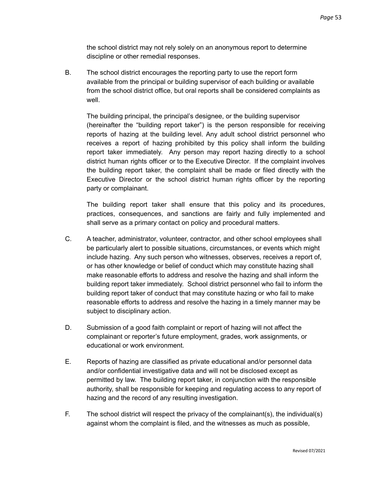the school district may not rely solely on an anonymous report to determine discipline or other remedial responses.

B. The school district encourages the reporting party to use the report form available from the principal or building supervisor of each building or available from the school district office, but oral reports shall be considered complaints as well.

The building principal, the principal's designee, or the building supervisor (hereinafter the "building report taker") is the person responsible for receiving reports of hazing at the building level. Any adult school district personnel who receives a report of hazing prohibited by this policy shall inform the building report taker immediately. Any person may report hazing directly to a school district human rights officer or to the Executive Director. If the complaint involves the building report taker, the complaint shall be made or filed directly with the Executive Director or the school district human rights officer by the reporting party or complainant.

The building report taker shall ensure that this policy and its procedures, practices, consequences, and sanctions are fairly and fully implemented and shall serve as a primary contact on policy and procedural matters.

- C. A teacher, administrator, volunteer, contractor, and other school employees shall be particularly alert to possible situations, circumstances, or events which might include hazing. Any such person who witnesses, observes, receives a report of, or has other knowledge or belief of conduct which may constitute hazing shall make reasonable efforts to address and resolve the hazing and shall inform the building report taker immediately. School district personnel who fail to inform the building report taker of conduct that may constitute hazing or who fail to make reasonable efforts to address and resolve the hazing in a timely manner may be subject to disciplinary action.
- D. Submission of a good faith complaint or report of hazing will not affect the complainant or reporter's future employment, grades, work assignments, or educational or work environment.
- E. Reports of hazing are classified as private educational and/or personnel data and/or confidential investigative data and will not be disclosed except as permitted by law. The building report taker, in conjunction with the responsible authority, shall be responsible for keeping and regulating access to any report of hazing and the record of any resulting investigation.
- F. The school district will respect the privacy of the complainant(s), the individual(s) against whom the complaint is filed, and the witnesses as much as possible,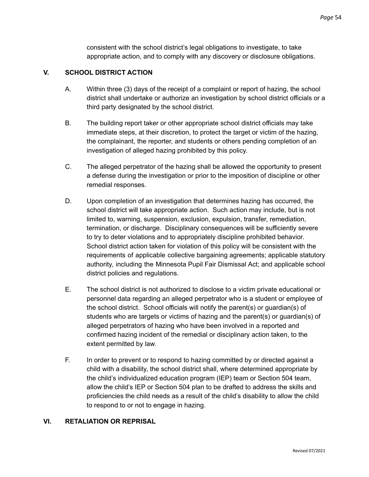consistent with the school district's legal obligations to investigate, to take appropriate action, and to comply with any discovery or disclosure obligations.

#### **V. SCHOOL DISTRICT ACTION**

- A. Within three (3) days of the receipt of a complaint or report of hazing, the school district shall undertake or authorize an investigation by school district officials or a third party designated by the school district.
- B. The building report taker or other appropriate school district officials may take immediate steps, at their discretion, to protect the target or victim of the hazing, the complainant, the reporter, and students or others pending completion of an investigation of alleged hazing prohibited by this policy.
- C. The alleged perpetrator of the hazing shall be allowed the opportunity to present a defense during the investigation or prior to the imposition of discipline or other remedial responses.
- D. Upon completion of an investigation that determines hazing has occurred, the school district will take appropriate action. Such action may include, but is not limited to, warning, suspension, exclusion, expulsion, transfer, remediation, termination, or discharge. Disciplinary consequences will be sufficiently severe to try to deter violations and to appropriately discipline prohibited behavior. School district action taken for violation of this policy will be consistent with the requirements of applicable collective bargaining agreements; applicable statutory authority, including the Minnesota Pupil Fair Dismissal Act; and applicable school district policies and regulations.
- E. The school district is not authorized to disclose to a victim private educational or personnel data regarding an alleged perpetrator who is a student or employee of the school district. School officials will notify the parent(s) or guardian(s) of students who are targets or victims of hazing and the parent(s) or guardian(s) of alleged perpetrators of hazing who have been involved in a reported and confirmed hazing incident of the remedial or disciplinary action taken, to the extent permitted by law.
- F. In order to prevent or to respond to hazing committed by or directed against a child with a disability, the school district shall, where determined appropriate by the child's individualized education program (IEP) team or Section 504 team, allow the child's IEP or Section 504 plan to be drafted to address the skills and proficiencies the child needs as a result of the child's disability to allow the child to respond to or not to engage in hazing.

#### **VI. RETALIATION OR REPRISAL**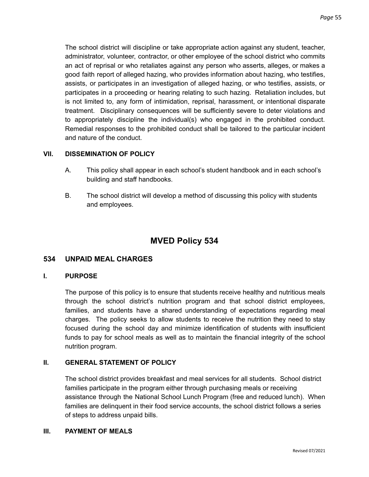The school district will discipline or take appropriate action against any student, teacher, administrator, volunteer, contractor, or other employee of the school district who commits an act of reprisal or who retaliates against any person who asserts, alleges, or makes a good faith report of alleged hazing, who provides information about hazing, who testifies, assists, or participates in an investigation of alleged hazing, or who testifies, assists, or participates in a proceeding or hearing relating to such hazing. Retaliation includes, but is not limited to, any form of intimidation, reprisal, harassment, or intentional disparate treatment. Disciplinary consequences will be sufficiently severe to deter violations and to appropriately discipline the individual(s) who engaged in the prohibited conduct. Remedial responses to the prohibited conduct shall be tailored to the particular incident and nature of the conduct.

#### **VII. DISSEMINATION OF POLICY**

- A. This policy shall appear in each school's student handbook and in each school's building and staff handbooks.
- B. The school district will develop a method of discussing this policy with students and employees.

# **MVED Policy 534**

#### **534 UNPAID MEAL CHARGES**

#### **I. PURPOSE**

The purpose of this policy is to ensure that students receive healthy and nutritious meals through the school district's nutrition program and that school district employees, families, and students have a shared understanding of expectations regarding meal charges. The policy seeks to allow students to receive the nutrition they need to stay focused during the school day and minimize identification of students with insufficient funds to pay for school meals as well as to maintain the financial integrity of the school nutrition program.

#### **II. GENERAL STATEMENT OF POLICY**

The school district provides breakfast and meal services for all students. School district families participate in the program either through purchasing meals or receiving assistance through the National School Lunch Program (free and reduced lunch). When families are delinquent in their food service accounts, the school district follows a series of steps to address unpaid bills.

#### **III. PAYMENT OF MEALS**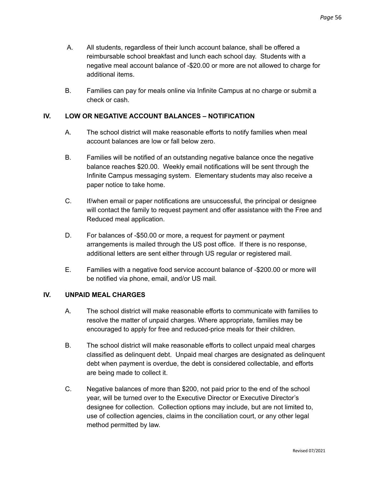- A. All students, regardless of their lunch account balance, shall be offered a reimbursable school breakfast and lunch each school day. Students with a negative meal account balance of -\$20.00 or more are not allowed to charge for additional items.
- B. Families can pay for meals online via Infinite Campus at no charge or submit a check or cash.

#### **IV. LOW OR NEGATIVE ACCOUNT BALANCES – NOTIFICATION**

- A. The school district will make reasonable efforts to notify families when meal account balances are low or fall below zero.
- B. Families will be notified of an outstanding negative balance once the negative balance reaches \$20.00. Weekly email notifications will be sent through the Infinite Campus messaging system. Elementary students may also receive a paper notice to take home.
- C. If/when email or paper notifications are unsuccessful, the principal or designee will contact the family to request payment and offer assistance with the Free and Reduced meal application.
- D. For balances of -\$50.00 or more, a request for payment or payment arrangements is mailed through the US post office. If there is no response, additional letters are sent either through US regular or registered mail.
- E. Families with a negative food service account balance of -\$200.00 or more will be notified via phone, email, and/or US mail.

#### **IV. UNPAID MEAL CHARGES**

- A. The school district will make reasonable efforts to communicate with families to resolve the matter of unpaid charges. Where appropriate, families may be encouraged to apply for free and reduced-price meals for their children.
- B. The school district will make reasonable efforts to collect unpaid meal charges classified as delinquent debt. Unpaid meal charges are designated as delinquent debt when payment is overdue, the debt is considered collectable, and efforts are being made to collect it.
- C. Negative balances of more than \$200, not paid prior to the end of the school year, will be turned over to the Executive Director or Executive Director's designee for collection. Collection options may include, but are not limited to, use of collection agencies, claims in the conciliation court, or any other legal method permitted by law.